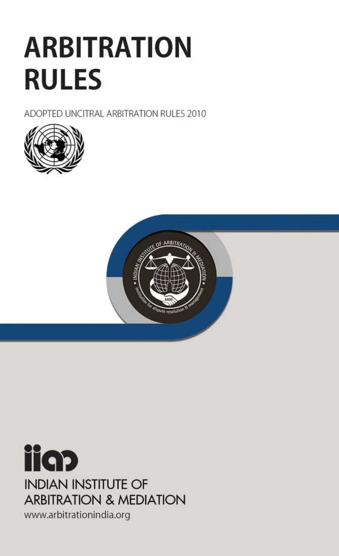# **ARBITRATION RULES**

ADOPTED UNCITRAL ARBITRATION RULES 2010





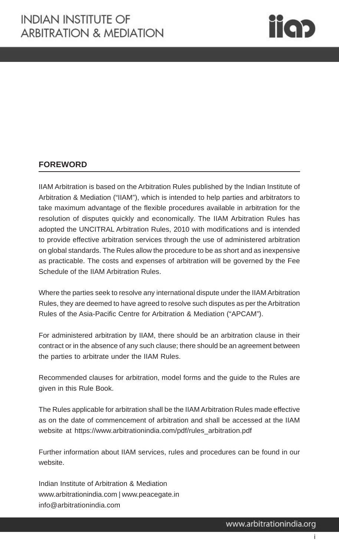

# **FOREWORD**

IIAM Arbitration is based on the Arbitration Rules published by the Indian Institute of Arbitration & Mediation ("IIAM"), which is intended to help parties and arbitrators to take maximum advantage of the flexible procedures available in arbitration for the resolution of disputes quickly and economically. The IIAM Arbitration Rules has adopted the UNCITRAL Arbitration Rules, 2010 with modifications and is intended to provide effective arbitration services through the use of administered arbitration on global standards. The Rules allow the procedure to be as short and as inexpensive as practicable. The costs and expenses of arbitration will be governed by the Fee Schedule of the IIAM Arbitration Rules.

Where the parties seek to resolve any international dispute under the IIAM Arbitration Rules, they are deemed to have agreed to resolve such disputes as per the Arbitration Rules of the Asia-Pacific Centre for Arbitration & Mediation ("APCAM").

For administered arbitration by IIAM, there should be an arbitration clause in their contract or in the absence of any such clause; there should be an agreement between the parties to arbitrate under the IIAM Rules.

Recommended clauses for arbitration, model forms and the guide to the Rules are given in this Rule Book.

The Rules applicable for arbitration shall be the IIAM Arbitration Rules made effective as on the date of commencement of arbitration and shall be accessed at the IIAM website at https://www.arbitrationindia.com/pdf/rules\_arbitration.pdf

Further information about IIAM services, rules and procedures can be found in our website.

Indian Institute of Arbitration & Mediation www.arbitrationindia.com | www.peacegate.in info@arbitrationindia.com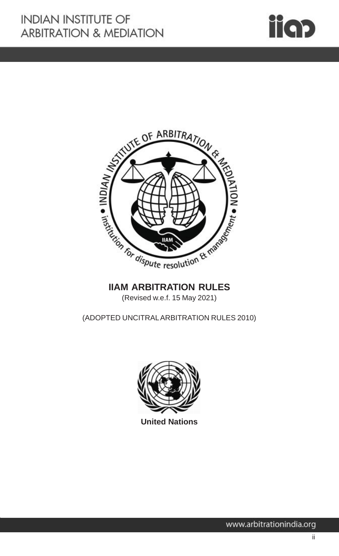



# **IIAM ARBITRATION RULES**

(Revised w.e.f. 15 May 2021)

(ADOPTED UNCITRAL ARBITRATION RULES 2010)



**United Nations**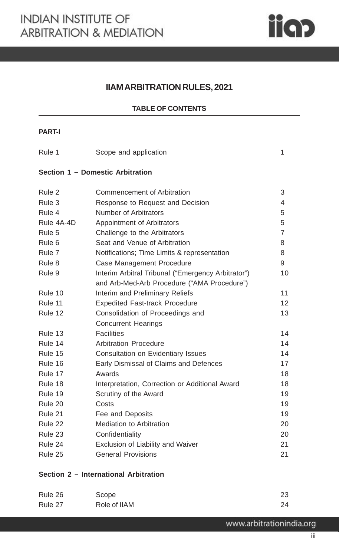

# **IIAM ARBITRATION RULES, 2021**

#### **TABLE OF CONTENTS**

#### **PART-I**

| Rule 1            | Scope and application                              | 1              |
|-------------------|----------------------------------------------------|----------------|
|                   | Section 1 - Domestic Arbitration                   |                |
| Rule 2            | Commencement of Arbitration                        | 3              |
| Rule 3            | Response to Request and Decision                   | 4              |
| Rule 4            | <b>Number of Arbitrators</b>                       | 5              |
| Rule 4A-4D        | Appointment of Arbitrators                         | 5              |
| Rule 5            | Challenge to the Arbitrators                       | $\overline{7}$ |
| Rule <sub>6</sub> | Seat and Venue of Arbitration                      | 8              |
| Rule 7            | Notifications; Time Limits & representation        | 8              |
| Rule 8            | Case Management Procedure                          | 9              |
| Rule 9            | Interim Arbitral Tribunal ("Emergency Arbitrator") | 10             |
|                   | and Arb-Med-Arb Procedure ("AMA Procedure")        |                |
| Rule 10           | Interim and Preliminary Reliefs                    | 11             |
| Rule 11           | <b>Expedited Fast-track Procedure</b>              | 12             |
| Rule 12           | Consolidation of Proceedings and                   | 13             |
|                   | <b>Concurrent Hearings</b>                         |                |
| Rule 13           | <b>Facilities</b>                                  | 14             |
| Rule 14           | <b>Arbitration Procedure</b>                       | 14             |
| Rule 15           | <b>Consultation on Evidentiary Issues</b>          | 14             |
| Rule 16           | Early Dismissal of Claims and Defences             | 17             |
| Rule 17           | Awards                                             | 18             |
| Rule 18           | Interpretation, Correction or Additional Award     | 18             |
| Rule 19           | Scrutiny of the Award                              | 19             |
| Rule 20           | Costs                                              | 19             |
| Rule 21           | Fee and Deposits                                   | 19             |
| Rule 22           | Mediation to Arbitration                           | 20             |
| Rule 23           | Confidentiality                                    | 20             |
| Rule 24           | Exclusion of Liability and Waiver                  | 21             |
| Rule 25           | <b>General Provisions</b>                          | 21             |

#### **Section 2 – International Arbitration**

| Rule 26 | Scope        | 23 |
|---------|--------------|----|
| Rule 27 | Role of IIAM | 24 |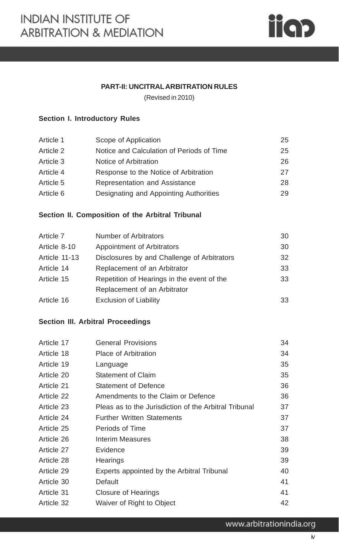

# **PART-II: UNCITRAL ARBITRATION RULES**

(Revised in 2010)

#### **Section I. Introductory Rules**

| Scope of Application                      | 25  |
|-------------------------------------------|-----|
| Notice and Calculation of Periods of Time | 25  |
| Notice of Arbitration                     | 26  |
| Response to the Notice of Arbitration     | 27  |
| Representation and Assistance             | 28  |
| Designating and Appointing Authorities    | 29. |
|                                           |     |

#### **Section II. Composition of the Arbitral Tribunal**

| Article 7     | <b>Number of Arbitrators</b>                | 30 |
|---------------|---------------------------------------------|----|
| Article 8-10  | Appointment of Arbitrators                  | 30 |
| Article 11-13 | Disclosures by and Challenge of Arbitrators | 32 |
| Article 14    | Replacement of an Arbitrator                | 33 |
| Article 15    | Repetition of Hearings in the event of the  | 33 |
|               | Replacement of an Arbitrator                |    |
| Article 16    | <b>Exclusion of Liability</b>               | 33 |

#### **Section III. Arbitral Proceedings**

| Article 17 | <b>General Provisions</b>                             | 34 |
|------------|-------------------------------------------------------|----|
| Article 18 | Place of Arbitration                                  | 34 |
| Article 19 | Language                                              | 35 |
| Article 20 | Statement of Claim                                    | 35 |
| Article 21 | <b>Statement of Defence</b>                           | 36 |
| Article 22 | Amendments to the Claim or Defence                    | 36 |
| Article 23 | Pleas as to the Jurisdiction of the Arbitral Tribunal | 37 |
| Article 24 | <b>Further Written Statements</b>                     | 37 |
| Article 25 | Periods of Time                                       | 37 |
| Article 26 | Interim Measures                                      | 38 |
| Article 27 | Evidence                                              | 39 |
| Article 28 | Hearings                                              | 39 |
| Article 29 | Experts appointed by the Arbitral Tribunal            | 40 |
| Article 30 | Default                                               | 41 |
| Article 31 | Closure of Hearings                                   | 41 |
| Article 32 | Waiver of Right to Object                             | 42 |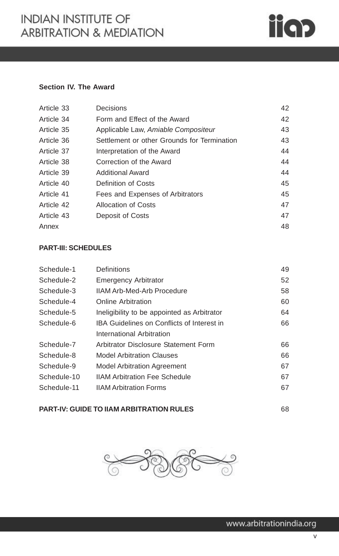# **INDIAN INSTITUTE OF ARBITRATION & MEDIATION**

#### **Section IV. The Award**

| Article 33 | Decisions                                   | 42 |
|------------|---------------------------------------------|----|
| Article 34 | Form and Effect of the Award                | 42 |
| Article 35 | Applicable Law, Amiable Compositeur         | 43 |
| Article 36 | Settlement or other Grounds for Termination | 43 |
| Article 37 | Interpretation of the Award                 | 44 |
| Article 38 | Correction of the Award                     | 44 |
| Article 39 | <b>Additional Award</b>                     | 44 |
| Article 40 | Definition of Costs                         | 45 |
| Article 41 | Fees and Expenses of Arbitrators            | 45 |
| Article 42 | Allocation of Costs                         | 47 |
| Article 43 | Deposit of Costs                            | 47 |
| Annex      |                                             | 48 |

#### **PART-III: SCHEDULES**

| Schedule-1  | Definitions                                       | 49 |
|-------------|---------------------------------------------------|----|
| Schedule-2  | <b>Emergency Arbitrator</b>                       | 52 |
| Schedule-3  | <b>IIAM Arb-Med-Arb Procedure</b>                 | 58 |
| Schedule-4  | Online Arbitration                                | 60 |
| Schedule-5  | Ineligibility to be appointed as Arbitrator       | 64 |
| Schedule-6  | <b>IBA Guidelines on Conflicts of Interest in</b> | 66 |
|             | International Arbitration                         |    |
| Schedule-7  | Arbitrator Disclosure Statement Form              | 66 |
| Schedule-8  | <b>Model Arbitration Clauses</b>                  | 66 |
| Schedule-9  | <b>Model Arbitration Agreement</b>                | 67 |
| Schedule-10 | <b>IIAM Arbitration Fee Schedule</b>              | 67 |
| Schedule-11 | <b>IIAM Arbitration Forms</b>                     | 67 |
|             |                                                   |    |

#### **PART-IV: GUIDE TO IIAM ARBITRATION RULES** 68

iiod

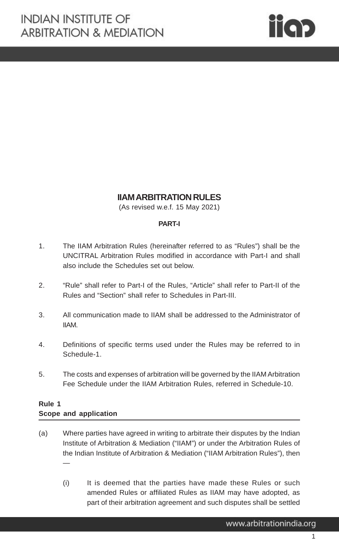

# **IIAM ARBITRATION RULES**

(As revised w.e.f. 15 May 2021)

#### **PART-I**

- 1. The IIAM Arbitration Rules (hereinafter referred to as "Rules") shall be the UNCITRAL Arbitration Rules modified in accordance with Part-I and shall also include the Schedules set out below.
- 2. "Rule" shall refer to Part-I of the Rules, "Article" shall refer to Part-II of the Rules and "Section" shall refer to Schedules in Part-III.
- 3. All communication made to IIAM shall be addressed to the Administrator of IIAM.
- 4. Definitions of specific terms used under the Rules may be referred to in Schedule-1.
- 5. The costs and expenses of arbitration will be governed by the IIAM Arbitration Fee Schedule under the IIAM Arbitration Rules, referred in Schedule-10.

#### **Rule 1 Scope and application**

- (a) Where parties have agreed in writing to arbitrate their disputes by the Indian Institute of Arbitration & Mediation ("IIAM") or under the Arbitration Rules of the Indian Institute of Arbitration & Mediation ("IIAM Arbitration Rules"), then —
	- (i) It is deemed that the parties have made these Rules or such amended Rules or affiliated Rules as IIAM may have adopted, as part of their arbitration agreement and such disputes shall be settled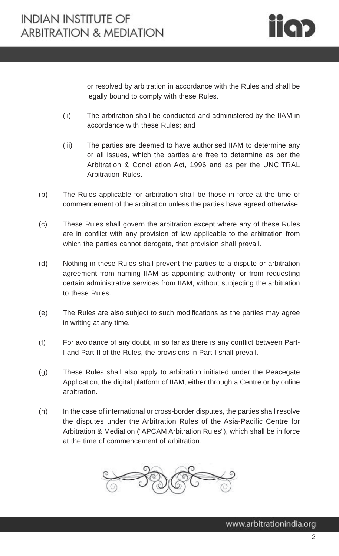

or resolved by arbitration in accordance with the Rules and shall be legally bound to comply with these Rules.

- (ii) The arbitration shall be conducted and administered by the IIAM in accordance with these Rules; and
- (iii) The parties are deemed to have authorised IIAM to determine any or all issues, which the parties are free to determine as per the Arbitration & Conciliation Act, 1996 and as per the UNCITRAL Arbitration Rules.
- (b) The Rules applicable for arbitration shall be those in force at the time of commencement of the arbitration unless the parties have agreed otherwise.
- (c) These Rules shall govern the arbitration except where any of these Rules are in conflict with any provision of law applicable to the arbitration from which the parties cannot derogate, that provision shall prevail.
- (d) Nothing in these Rules shall prevent the parties to a dispute or arbitration agreement from naming IIAM as appointing authority, or from requesting certain administrative services from IIAM, without subjecting the arbitration to these Rules.
- (e) The Rules are also subject to such modifications as the parties may agree in writing at any time.
- (f) For avoidance of any doubt, in so far as there is any conflict between Part-I and Part-II of the Rules, the provisions in Part-I shall prevail.
- (g) These Rules shall also apply to arbitration initiated under the Peacegate Application, the digital platform of IIAM, either through a Centre or by online arbitration.
- (h) In the case of international or cross-border disputes, the parties shall resolve the disputes under the Arbitration Rules of the Asia-Pacific Centre for Arbitration & Mediation ("APCAM Arbitration Rules"), which shall be in force at the time of commencement of arbitration.

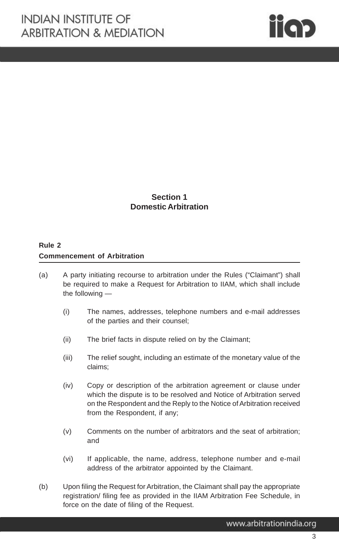

# **Section 1 Domestic Arbitration**

# **Rule 2 Commencement of Arbitration**

- (a) A party initiating recourse to arbitration under the Rules ("Claimant") shall be required to make a Request for Arbitration to IIAM, which shall include the following —
	- (i) The names, addresses, telephone numbers and e-mail addresses of the parties and their counsel;
	- (ii) The brief facts in dispute relied on by the Claimant;
	- (iii) The relief sought, including an estimate of the monetary value of the claims;
	- (iv) Copy or description of the arbitration agreement or clause under which the dispute is to be resolved and Notice of Arbitration served on the Respondent and the Reply to the Notice of Arbitration received from the Respondent, if any;
	- (v) Comments on the number of arbitrators and the seat of arbitration; and
	- (vi) If applicable, the name, address, telephone number and e-mail address of the arbitrator appointed by the Claimant.
- (b) Upon filing the Request for Arbitration, the Claimant shall pay the appropriate registration/ filing fee as provided in the IIAM Arbitration Fee Schedule, in force on the date of filing of the Request.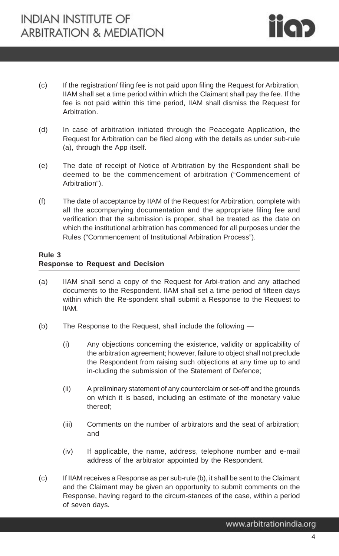

- (c) If the registration/ filing fee is not paid upon filing the Request for Arbitration, IIAM shall set a time period within which the Claimant shall pay the fee. If the fee is not paid within this time period, IIAM shall dismiss the Request for Arbitration.
- (d) In case of arbitration initiated through the Peacegate Application, the Request for Arbitration can be filed along with the details as under sub-rule (a), through the App itself.
- (e) The date of receipt of Notice of Arbitration by the Respondent shall be deemed to be the commencement of arbitration ("Commencement of Arbitration").
- (f) The date of acceptance by IIAM of the Request for Arbitration, complete with all the accompanying documentation and the appropriate filing fee and verification that the submission is proper, shall be treated as the date on which the institutional arbitration has commenced for all purposes under the Rules ("Commencement of Institutional Arbitration Process").

# **Rule 3 Response to Request and Decision**

- (a) IIAM shall send a copy of the Request for Arbi-tration and any attached documents to the Respondent. IIAM shall set a time period of fifteen days within which the Re-spondent shall submit a Response to the Request to IIAM.
- (b) The Response to the Request, shall include the following
	- (i) Any objections concerning the existence, validity or applicability of the arbitration agreement; however, failure to object shall not preclude the Respondent from raising such objections at any time up to and in-cluding the submission of the Statement of Defence;
	- (ii) A preliminary statement of any counterclaim or set-off and the grounds on which it is based, including an estimate of the monetary value thereof;
	- (iii) Comments on the number of arbitrators and the seat of arbitration; and
	- (iv) If applicable, the name, address, telephone number and e-mail address of the arbitrator appointed by the Respondent.
- (c) If IIAM receives a Response as per sub-rule (b), it shall be sent to the Claimant and the Claimant may be given an opportunity to submit comments on the Response, having regard to the circum-stances of the case, within a period of seven days.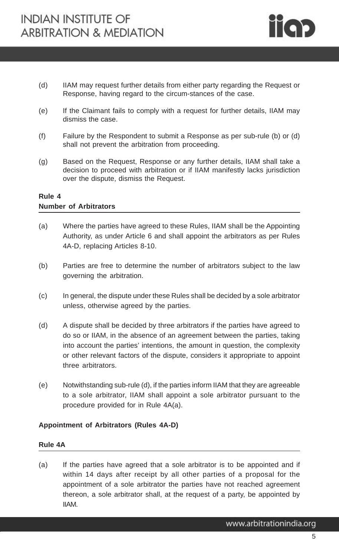

- (d) IIAM may request further details from either party regarding the Request or Response, having regard to the circum-stances of the case.
- (e) If the Claimant fails to comply with a request for further details, IIAM may dismiss the case.
- (f) Failure by the Respondent to submit a Response as per sub-rule (b) or (d) shall not prevent the arbitration from proceeding.
- (g) Based on the Request, Response or any further details, IIAM shall take a decision to proceed with arbitration or if IIAM manifestly lacks jurisdiction over the dispute, dismiss the Request.

#### **Rule 4 Number of Arbitrators**

- (a) Where the parties have agreed to these Rules, IIAM shall be the Appointing Authority, as under Article 6 and shall appoint the arbitrators as per Rules 4A-D, replacing Articles 8-10.
- (b) Parties are free to determine the number of arbitrators subject to the law governing the arbitration.
- (c) In general, the dispute under these Rules shall be decided by a sole arbitrator unless, otherwise agreed by the parties.
- (d) A dispute shall be decided by three arbitrators if the parties have agreed to do so or IIAM, in the absence of an agreement between the parties, taking into account the parties' intentions, the amount in question, the complexity or other relevant factors of the dispute, considers it appropriate to appoint three arbitrators.
- (e) Notwithstanding sub-rule (d), if the parties inform IIAM that they are agreeable to a sole arbitrator, IIAM shall appoint a sole arbitrator pursuant to the procedure provided for in Rule 4A(a).

# **Appointment of Arbitrators (Rules 4A-D)**

#### **Rule 4A**

(a) If the parties have agreed that a sole arbitrator is to be appointed and if within 14 days after receipt by all other parties of a proposal for the appointment of a sole arbitrator the parties have not reached agreement thereon, a sole arbitrator shall, at the request of a party, be appointed by IIAM.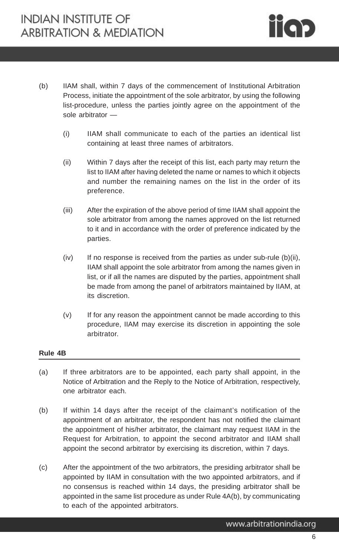

- (b) IIAM shall, within 7 days of the commencement of Institutional Arbitration Process, initiate the appointment of the sole arbitrator, by using the following list-procedure, unless the parties jointly agree on the appointment of the sole arbitrator —
	- (i) IIAM shall communicate to each of the parties an identical list containing at least three names of arbitrators.
	- (ii) Within 7 days after the receipt of this list, each party may return the list to IIAM after having deleted the name or names to which it objects and number the remaining names on the list in the order of its preference.
	- (iii) After the expiration of the above period of time IIAM shall appoint the sole arbitrator from among the names approved on the list returned to it and in accordance with the order of preference indicated by the parties.
	- $(iv)$  If no response is received from the parties as under sub-rule  $(b)(ii)$ , IIAM shall appoint the sole arbitrator from among the names given in list, or if all the names are disputed by the parties, appointment shall be made from among the panel of arbitrators maintained by IIAM, at its discretion.
	- (v) If for any reason the appointment cannot be made according to this procedure, IIAM may exercise its discretion in appointing the sole arbitrator.

#### **Rule 4B**

- (a) If three arbitrators are to be appointed, each party shall appoint, in the Notice of Arbitration and the Reply to the Notice of Arbitration, respectively, one arbitrator each.
- (b) If within 14 days after the receipt of the claimant's notification of the appointment of an arbitrator, the respondent has not notified the claimant the appointment of his/her arbitrator, the claimant may request IIAM in the Request for Arbitration, to appoint the second arbitrator and IIAM shall appoint the second arbitrator by exercising its discretion, within 7 days.
- (c) After the appointment of the two arbitrators, the presiding arbitrator shall be appointed by IIAM in consultation with the two appointed arbitrators, and if no consensus is reached within 14 days, the presiding arbitrator shall be appointed in the same list procedure as under Rule 4A(b), by communicating to each of the appointed arbitrators.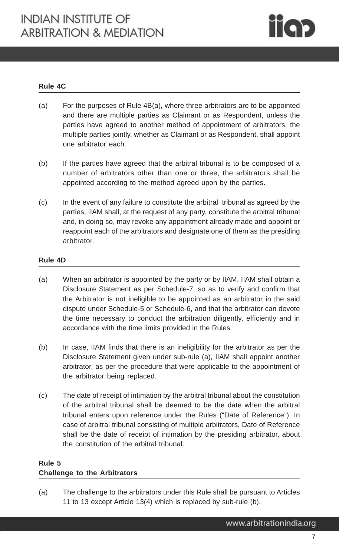

#### **Rule 4C**

- (a) For the purposes of Rule 4B(a), where three arbitrators are to be appointed and there are multiple parties as Claimant or as Respondent, unless the parties have agreed to another method of appointment of arbitrators, the multiple parties jointly, whether as Claimant or as Respondent, shall appoint one arbitrator each.
- (b) If the parties have agreed that the arbitral tribunal is to be composed of a number of arbitrators other than one or three, the arbitrators shall be appointed according to the method agreed upon by the parties.
- (c) In the event of any failure to constitute the arbitral tribunal as agreed by the parties, IIAM shall, at the request of any party, constitute the arbitral tribunal and, in doing so, may revoke any appointment already made and appoint or reappoint each of the arbitrators and designate one of them as the presiding arbitrator.

#### **Rule 4D**

- (a) When an arbitrator is appointed by the party or by IIAM, IIAM shall obtain a Disclosure Statement as per Schedule-7, so as to verify and confirm that the Arbitrator is not ineligible to be appointed as an arbitrator in the said dispute under Schedule-5 or Schedule-6, and that the arbitrator can devote the time necessary to conduct the arbitration diligently, efficiently and in accordance with the time limits provided in the Rules.
- (b) In case, IIAM finds that there is an ineligibility for the arbitrator as per the Disclosure Statement given under sub-rule (a), IIAM shall appoint another arbitrator, as per the procedure that were applicable to the appointment of the arbitrator being replaced.
- (c) The date of receipt of intimation by the arbitral tribunal about the constitution of the arbitral tribunal shall be deemed to be the date when the arbitral tribunal enters upon reference under the Rules ("Date of Reference"). In case of arbitral tribunal consisting of multiple arbitrators, Date of Reference shall be the date of receipt of intimation by the presiding arbitrator, about the constitution of the arbitral tribunal.

# **Rule 5 Challenge to the Arbitrators**

(a) The challenge to the arbitrators under this Rule shall be pursuant to Articles 11 to 13 except Article 13(4) which is replaced by sub-rule (b).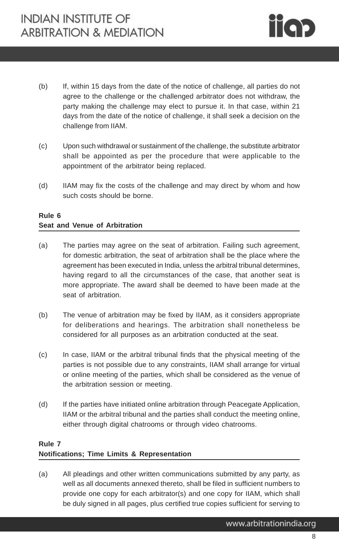

- (b) If, within 15 days from the date of the notice of challenge, all parties do not agree to the challenge or the challenged arbitrator does not withdraw, the party making the challenge may elect to pursue it. In that case, within 21 days from the date of the notice of challenge, it shall seek a decision on the challenge from IIAM.
- (c) Upon such withdrawal or sustainment of the challenge, the substitute arbitrator shall be appointed as per the procedure that were applicable to the appointment of the arbitrator being replaced.
- (d) IIAM may fix the costs of the challenge and may direct by whom and how such costs should be borne.

#### **Rule 6 Seat and Venue of Arbitration**

- (a) The parties may agree on the seat of arbitration. Failing such agreement, for domestic arbitration, the seat of arbitration shall be the place where the agreement has been executed in India, unless the arbitral tribunal determines, having regard to all the circumstances of the case, that another seat is more appropriate. The award shall be deemed to have been made at the seat of arbitration.
- (b) The venue of arbitration may be fixed by IIAM, as it considers appropriate for deliberations and hearings. The arbitration shall nonetheless be considered for all purposes as an arbitration conducted at the seat.
- (c) In case, IIAM or the arbitral tribunal finds that the physical meeting of the parties is not possible due to any constraints, IIAM shall arrange for virtual or online meeting of the parties, which shall be considered as the venue of the arbitration session or meeting.
- (d) If the parties have initiated online arbitration through Peacegate Application, IIAM or the arbitral tribunal and the parties shall conduct the meeting online, either through digital chatrooms or through video chatrooms.

# **Rule 7 Notifications; Time Limits & Representation**

(a) All pleadings and other written communications submitted by any party, as well as all documents annexed thereto, shall be filed in sufficient numbers to provide one copy for each arbitrator(s) and one copy for IIAM, which shall be duly signed in all pages, plus certified true copies sufficient for serving to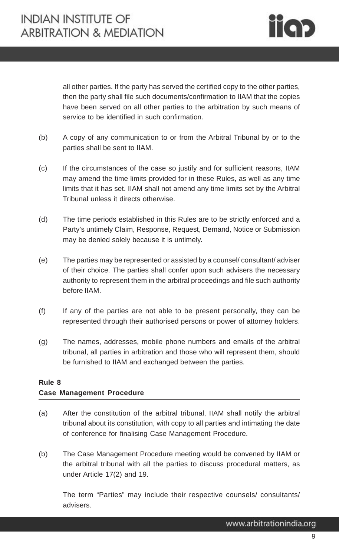

all other parties. If the party has served the certified copy to the other parties, then the party shall file such documents/confirmation to IIAM that the copies have been served on all other parties to the arbitration by such means of service to be identified in such confirmation.

- (b) A copy of any communication to or from the Arbitral Tribunal by or to the parties shall be sent to IIAM.
- (c) If the circumstances of the case so justify and for sufficient reasons, IIAM may amend the time limits provided for in these Rules, as well as any time limits that it has set. IIAM shall not amend any time limits set by the Arbitral Tribunal unless it directs otherwise.
- (d) The time periods established in this Rules are to be strictly enforced and a Party's untimely Claim, Response, Request, Demand, Notice or Submission may be denied solely because it is untimely.
- (e) The parties may be represented or assisted by a counsel/ consultant/ adviser of their choice. The parties shall confer upon such advisers the necessary authority to represent them in the arbitral proceedings and file such authority before IIAM.
- (f) If any of the parties are not able to be present personally, they can be represented through their authorised persons or power of attorney holders.
- (g) The names, addresses, mobile phone numbers and emails of the arbitral tribunal, all parties in arbitration and those who will represent them, should be furnished to IIAM and exchanged between the parties.

# **Rule 8 Case Management Procedure**

- (a) After the constitution of the arbitral tribunal, IIAM shall notify the arbitral tribunal about its constitution, with copy to all parties and intimating the date of conference for finalising Case Management Procedure.
- (b) The Case Management Procedure meeting would be convened by IIAM or the arbitral tribunal with all the parties to discuss procedural matters, as under Article 17(2) and 19.

The term "Parties" may include their respective counsels/ consultants/ advisers.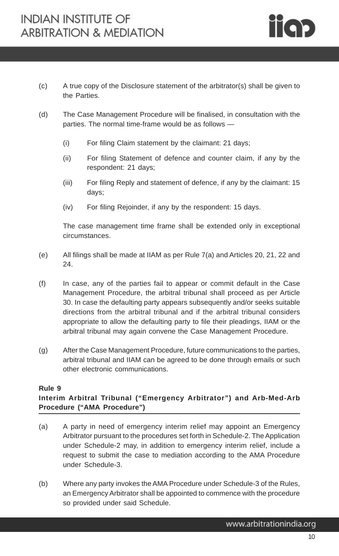

- (c) A true copy of the Disclosure statement of the arbitrator(s) shall be given to the Parties.
- (d) The Case Management Procedure will be finalised, in consultation with the parties. The normal time-frame would be as follows —
	- (i) For filing Claim statement by the claimant: 21 days;
	- (ii) For filing Statement of defence and counter claim, if any by the respondent: 21 days;
	- (iii) For filing Reply and statement of defence, if any by the claimant: 15 days;
	- (iv) For filing Rejoinder, if any by the respondent: 15 days.

The case management time frame shall be extended only in exceptional circumstances.

- (e) All filings shall be made at IIAM as per Rule 7(a) and Articles 20, 21, 22 and 24.
- (f) In case, any of the parties fail to appear or commit default in the Case Management Procedure, the arbitral tribunal shall proceed as per Article 30. In case the defaulting party appears subsequently and/or seeks suitable directions from the arbitral tribunal and if the arbitral tribunal considers appropriate to allow the defaulting party to file their pleadings, IIAM or the arbitral tribunal may again convene the Case Management Procedure.
- (g) After the Case Management Procedure, future communications to the parties, arbitral tribunal and IIAM can be agreed to be done through emails or such other electronic communications.

#### **Rule 9**

# **Interim Arbitral Tribunal ("Emergency Arbitrator") and Arb-Med-Arb Procedure ("AMA Procedure")**

- (a) A party in need of emergency interim relief may appoint an Emergency Arbitrator pursuant to the procedures set forth in Schedule-2. The Application under Schedule-2 may, in addition to emergency interim relief, include a request to submit the case to mediation according to the AMA Procedure under Schedule-3.
- (b) Where any party invokes the AMA Procedure under Schedule-3 of the Rules, an Emergency Arbitrator shall be appointed to commence with the procedure so provided under said Schedule.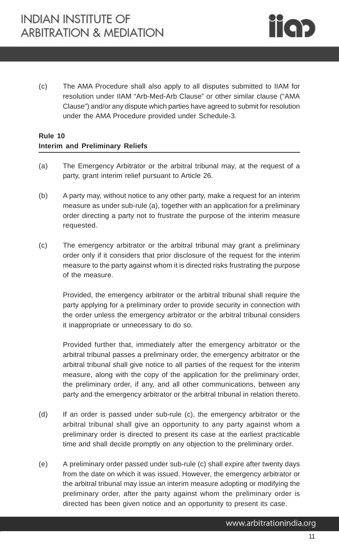

(c) The AMA Procedure shall also apply to all disputes submitted to IIAM for resolution under IIAM "Arb-Med-Arb Clause" or other similar clause ("AMA Clause") and/or any dispute which parties have agreed to submit for resolution under the AMA Procedure provided under Schedule-3.

# **Rule 10 Interim and Preliminary Reliefs**

- (a) The Emergency Arbitrator or the arbitral tribunal may, at the request of a party, grant interim relief pursuant to Article 26.
- (b) A party may, without notice to any other party, make a request for an interim measure as under sub-rule (a), together with an application for a preliminary order directing a party not to frustrate the purpose of the interim measure requested.
- (c) The emergency arbitrator or the arbitral tribunal may grant a preliminary order only if it considers that prior disclosure of the request for the interim measure to the party against whom it is directed risks frustrating the purpose of the measure.

Provided, the emergency arbitrator or the arbitral tribunal shall require the party applying for a preliminary order to provide security in connection with the order unless the emergency arbitrator or the arbitral tribunal considers it inappropriate or unnecessary to do so.

Provided further that, immediately after the emergency arbitrator or the arbitral tribunal passes a preliminary order, the emergency arbitrator or the arbitral tribunal shall give notice to all parties of the request for the interim measure, along with the copy of the application for the preliminary order, the preliminary order, if any, and all other communications, between any party and the emergency arbitrator or the arbitral tribunal in relation thereto.

- (d) If an order is passed under sub-rule (c), the emergency arbitrator or the arbitral tribunal shall give an opportunity to any party against whom a preliminary order is directed to present its case at the earliest practicable time and shall decide promptly on any objection to the preliminary order.
- (e) A preliminary order passed under sub-rule (c) shall expire after twenty days from the date on which it was issued. However, the emergency arbitrator or the arbitral tribunal may issue an interim measure adopting or modifying the preliminary order, after the party against whom the preliminary order is directed has been given notice and an opportunity to present its case.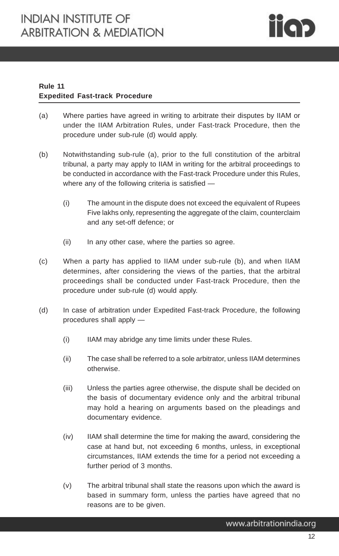

# **Rule 11 Expedited Fast-track Procedure**

- (a) Where parties have agreed in writing to arbitrate their disputes by IIAM or under the IIAM Arbitration Rules, under Fast-track Procedure, then the procedure under sub-rule (d) would apply.
- (b) Notwithstanding sub-rule (a), prior to the full constitution of the arbitral tribunal, a party may apply to IIAM in writing for the arbitral proceedings to be conducted in accordance with the Fast-track Procedure under this Rules, where any of the following criteria is satisfied —
	- (i) The amount in the dispute does not exceed the equivalent of Rupees Five lakhs only, representing the aggregate of the claim, counterclaim and any set-off defence; or
	- (ii) In any other case, where the parties so agree.
- (c) When a party has applied to IIAM under sub-rule (b), and when IIAM determines, after considering the views of the parties, that the arbitral proceedings shall be conducted under Fast-track Procedure, then the procedure under sub-rule (d) would apply.
- (d) In case of arbitration under Expedited Fast-track Procedure, the following procedures shall apply —
	- (i) IIAM may abridge any time limits under these Rules.
	- (ii) The case shall be referred to a sole arbitrator, unless IIAM determines otherwise.
	- (iii) Unless the parties agree otherwise, the dispute shall be decided on the basis of documentary evidence only and the arbitral tribunal may hold a hearing on arguments based on the pleadings and documentary evidence.
	- (iv) IIAM shall determine the time for making the award, considering the case at hand but, not exceeding 6 months, unless, in exceptional circumstances, IIAM extends the time for a period not exceeding a further period of 3 months.
	- (v) The arbitral tribunal shall state the reasons upon which the award is based in summary form, unless the parties have agreed that no reasons are to be given.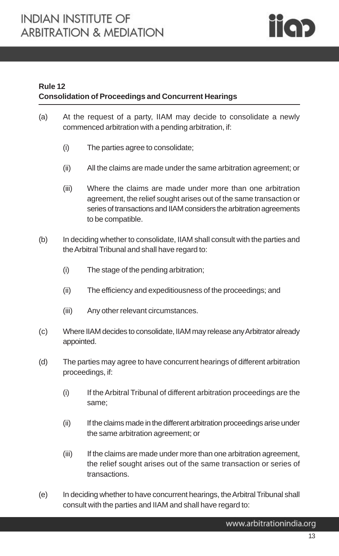

# **Rule 12 Consolidation of Proceedings and Concurrent Hearings**

- (a) At the request of a party, IIAM may decide to consolidate a newly commenced arbitration with a pending arbitration, if:
	- (i) The parties agree to consolidate;
	- (ii) All the claims are made under the same arbitration agreement; or
	- (iii) Where the claims are made under more than one arbitration agreement, the relief sought arises out of the same transaction or series of transactions and IIAM considers the arbitration agreements to be compatible.
- (b) In deciding whether to consolidate, IIAM shall consult with the parties and the Arbitral Tribunal and shall have regard to:
	- (i) The stage of the pending arbitration;
	- (ii) The efficiency and expeditiousness of the proceedings; and
	- (iii) Any other relevant circumstances.
- (c) Where IIAM decides to consolidate, IIAM may release any Arbitrator already appointed.
- (d) The parties may agree to have concurrent hearings of different arbitration proceedings, if:
	- (i) If the Arbitral Tribunal of different arbitration proceedings are the same;
	- (ii) If the claims made in the different arbitration proceedings arise under the same arbitration agreement; or
	- (iii) If the claims are made under more than one arbitration agreement, the relief sought arises out of the same transaction or series of transactions.
- (e) In deciding whether to have concurrent hearings, the Arbitral Tribunal shall consult with the parties and IIAM and shall have regard to: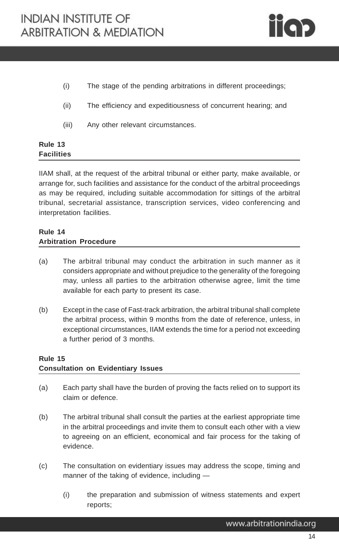

- (i) The stage of the pending arbitrations in different proceedings;
- (ii) The efficiency and expeditiousness of concurrent hearing; and
- (iii) Any other relevant circumstances.

#### **Rule 13 Facilities**

IIAM shall, at the request of the arbitral tribunal or either party, make available, or arrange for, such facilities and assistance for the conduct of the arbitral proceedings as may be required, including suitable accommodation for sittings of the arbitral tribunal, secretarial assistance, transcription services, video conferencing and interpretation facilities.

# **Rule 14 Arbitration Procedure**

- (a) The arbitral tribunal may conduct the arbitration in such manner as it considers appropriate and without prejudice to the generality of the foregoing may, unless all parties to the arbitration otherwise agree, limit the time available for each party to present its case.
- (b) Except in the case of Fast-track arbitration, the arbitral tribunal shall complete the arbitral process, within 9 months from the date of reference, unless, in exceptional circumstances, IIAM extends the time for a period not exceeding a further period of 3 months.

# **Rule 15 Consultation on Evidentiary Issues**

- (a) Each party shall have the burden of proving the facts relied on to support its claim or defence.
- (b) The arbitral tribunal shall consult the parties at the earliest appropriate time in the arbitral proceedings and invite them to consult each other with a view to agreeing on an efficient, economical and fair process for the taking of evidence.
- (c) The consultation on evidentiary issues may address the scope, timing and manner of the taking of evidence, including —
	- (i) the preparation and submission of witness statements and expert reports;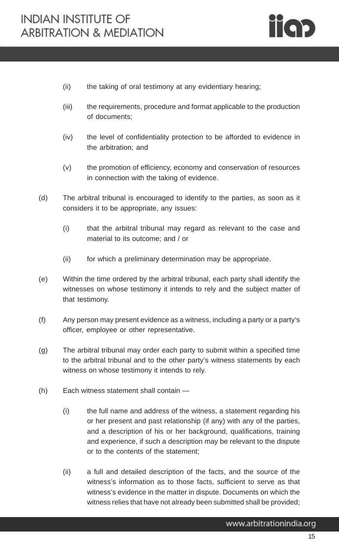

- (ii) the taking of oral testimony at any evidentiary hearing;
- (iii) the requirements, procedure and format applicable to the production of documents;
- (iv) the level of confidentiality protection to be afforded to evidence in the arbitration; and
- (v) the promotion of efficiency, economy and conservation of resources in connection with the taking of evidence.
- (d) The arbitral tribunal is encouraged to identify to the parties, as soon as it considers it to be appropriate, any issues:
	- (i) that the arbitral tribunal may regard as relevant to the case and material to its outcome; and / or
	- (ii) for which a preliminary determination may be appropriate.
- (e) Within the time ordered by the arbitral tribunal, each party shall identify the witnesses on whose testimony it intends to rely and the subject matter of that testimony.
- (f) Any person may present evidence as a witness, including a party or a party's officer, employee or other representative.
- (g) The arbitral tribunal may order each party to submit within a specified time to the arbitral tribunal and to the other party's witness statements by each witness on whose testimony it intends to rely.
- (h) Each witness statement shall contain
	- (i) the full name and address of the witness, a statement regarding his or her present and past relationship (if any) with any of the parties, and a description of his or her background, qualifications, training and experience, if such a description may be relevant to the dispute or to the contents of the statement;
	- (ii) a full and detailed description of the facts, and the source of the witness's information as to those facts, sufficient to serve as that witness's evidence in the matter in dispute. Documents on which the witness relies that have not already been submitted shall be provided;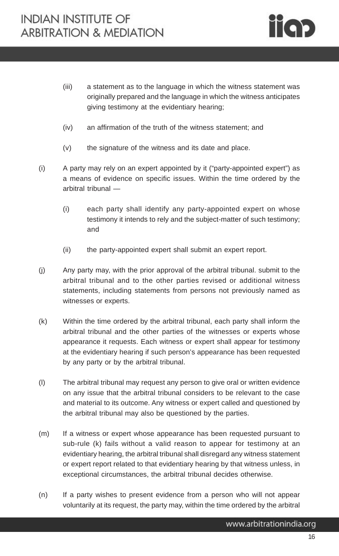

- (iii) a statement as to the language in which the witness statement was originally prepared and the language in which the witness anticipates giving testimony at the evidentiary hearing;
- (iv) an affirmation of the truth of the witness statement; and
- (v) the signature of the witness and its date and place.
- (i) A party may rely on an expert appointed by it ("party-appointed expert") as a means of evidence on specific issues. Within the time ordered by the arbitral tribunal —
	- (i) each party shall identify any party-appointed expert on whose testimony it intends to rely and the subject-matter of such testimony; and
	- (ii) the party-appointed expert shall submit an expert report.
- (j) Any party may, with the prior approval of the arbitral tribunal. submit to the arbitral tribunal and to the other parties revised or additional witness statements, including statements from persons not previously named as witnesses or experts.
- (k) Within the time ordered by the arbitral tribunal, each party shall inform the arbitral tribunal and the other parties of the witnesses or experts whose appearance it requests. Each witness or expert shall appear for testimony at the evidentiary hearing if such person's appearance has been requested by any party or by the arbitral tribunal.
- (l) The arbitral tribunal may request any person to give oral or written evidence on any issue that the arbitral tribunal considers to be relevant to the case and material to its outcome. Any witness or expert called and questioned by the arbitral tribunal may also be questioned by the parties.
- (m) If a witness or expert whose appearance has been requested pursuant to sub-rule (k) fails without a valid reason to appear for testimony at an evidentiary hearing, the arbitral tribunal shall disregard any witness statement or expert report related to that evidentiary hearing by that witness unless, in exceptional circumstances, the arbitral tribunal decides otherwise.
- (n) If a party wishes to present evidence from a person who will not appear voluntarily at its request, the party may, within the time ordered by the arbitral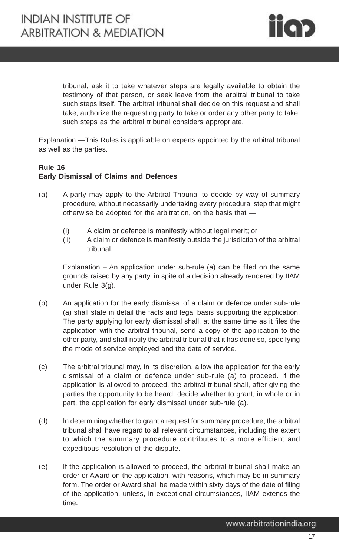

tribunal, ask it to take whatever steps are legally available to obtain the testimony of that person, or seek leave from the arbitral tribunal to take such steps itself. The arbitral tribunal shall decide on this request and shall take, authorize the requesting party to take or order any other party to take, such steps as the arbitral tribunal considers appropriate.

Explanation —This Rules is applicable on experts appointed by the arbitral tribunal as well as the parties.

# **Rule 16 Early Dismissal of Claims and Defences**

- (a) A party may apply to the Arbitral Tribunal to decide by way of summary procedure, without necessarily undertaking every procedural step that might otherwise be adopted for the arbitration, on the basis that —
	- (i) A claim or defence is manifestly without legal merit; or
	- (ii) A claim or defence is manifestly outside the jurisdiction of the arbitral tribunal.

Explanation – An application under sub-rule (a) can be filed on the same grounds raised by any party, in spite of a decision already rendered by IIAM under Rule 3(g).

- (b) An application for the early dismissal of a claim or defence under sub-rule (a) shall state in detail the facts and legal basis supporting the application. The party applying for early dismissal shall, at the same time as it files the application with the arbitral tribunal, send a copy of the application to the other party, and shall notify the arbitral tribunal that it has done so, specifying the mode of service employed and the date of service.
- (c) The arbitral tribunal may, in its discretion, allow the application for the early dismissal of a claim or defence under sub-rule (a) to proceed. If the application is allowed to proceed, the arbitral tribunal shall, after giving the parties the opportunity to be heard, decide whether to grant, in whole or in part, the application for early dismissal under sub-rule (a).
- (d) In determining whether to grant a request for summary procedure, the arbitral tribunal shall have regard to all relevant circumstances, including the extent to which the summary procedure contributes to a more efficient and expeditious resolution of the dispute.
- (e) If the application is allowed to proceed, the arbitral tribunal shall make an order or Award on the application, with reasons, which may be in summary form. The order or Award shall be made within sixty days of the date of filing of the application, unless, in exceptional circumstances, IIAM extends the time.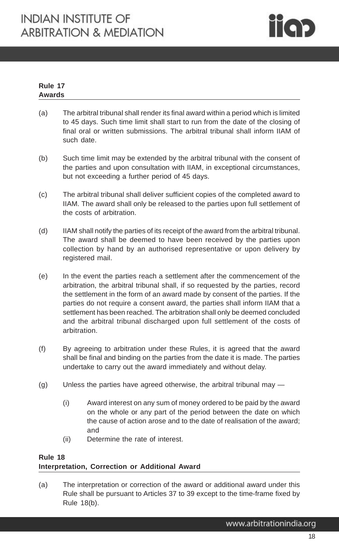

#### **Rule 17 Awards**

- (a) The arbitral tribunal shall render its final award within a period which is limited to 45 days. Such time limit shall start to run from the date of the closing of final oral or written submissions. The arbitral tribunal shall inform IIAM of such date.
- (b) Such time limit may be extended by the arbitral tribunal with the consent of the parties and upon consultation with IIAM, in exceptional circumstances, but not exceeding a further period of 45 days.
- (c) The arbitral tribunal shall deliver sufficient copies of the completed award to IIAM. The award shall only be released to the parties upon full settlement of the costs of arbitration.
- (d) IIAM shall notify the parties of its receipt of the award from the arbitral tribunal. The award shall be deemed to have been received by the parties upon collection by hand by an authorised representative or upon delivery by registered mail.
- (e) In the event the parties reach a settlement after the commencement of the arbitration, the arbitral tribunal shall, if so requested by the parties, record the settlement in the form of an award made by consent of the parties. If the parties do not require a consent award, the parties shall inform IIAM that a settlement has been reached. The arbitration shall only be deemed concluded and the arbitral tribunal discharged upon full settlement of the costs of arbitration.
- (f) By agreeing to arbitration under these Rules, it is agreed that the award shall be final and binding on the parties from the date it is made. The parties undertake to carry out the award immediately and without delay.
- (g) Unless the parties have agreed otherwise, the arbitral tribunal may
	- (i) Award interest on any sum of money ordered to be paid by the award on the whole or any part of the period between the date on which the cause of action arose and to the date of realisation of the award; and
	- (ii) Determine the rate of interest.

# **Rule 18 Interpretation, Correction or Additional Award**

(a) The interpretation or correction of the award or additional award under this Rule shall be pursuant to Articles 37 to 39 except to the time-frame fixed by Rule 18(b).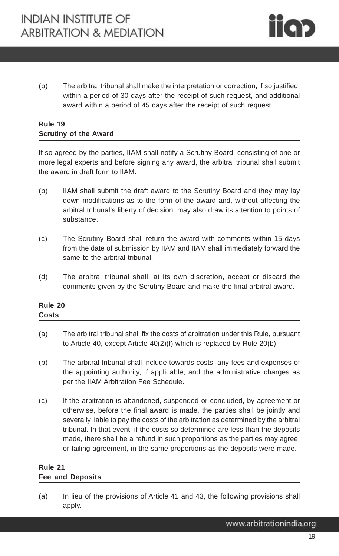

(b) The arbitral tribunal shall make the interpretation or correction, if so justified, within a period of 30 days after the receipt of such request, and additional award within a period of 45 days after the receipt of such request.

#### **Rule 19 Scrutiny of the Award**

If so agreed by the parties, IIAM shall notify a Scrutiny Board, consisting of one or more legal experts and before signing any award, the arbitral tribunal shall submit the award in draft form to IIAM.

- (b) IIAM shall submit the draft award to the Scrutiny Board and they may lay down modifications as to the form of the award and, without affecting the arbitral tribunal's liberty of decision, may also draw its attention to points of substance.
- (c) The Scrutiny Board shall return the award with comments within 15 days from the date of submission by IIAM and IIAM shall immediately forward the same to the arbitral tribunal.
- (d) The arbitral tribunal shall, at its own discretion, accept or discard the comments given by the Scrutiny Board and make the final arbitral award.

| Rule 20<br><b>Costs</b> |                                                                                                                                                                                                                                                                                                                                                                                                                                                                                            |
|-------------------------|--------------------------------------------------------------------------------------------------------------------------------------------------------------------------------------------------------------------------------------------------------------------------------------------------------------------------------------------------------------------------------------------------------------------------------------------------------------------------------------------|
| (a)                     | The arbitral tribunal shall fix the costs of arbitration under this Rule, pursuant<br>to Article 40, except Article 40(2)(f) which is replaced by Rule 20(b).                                                                                                                                                                                                                                                                                                                              |
| (b)                     | The arbitral tribunal shall include towards costs, any fees and expenses of<br>the appointing authority, if applicable; and the administrative charges as<br>per the IIAM Arbitration Fee Schedule.                                                                                                                                                                                                                                                                                        |
| (c)                     | If the arbitration is abandoned, suspended or concluded, by agreement or<br>otherwise, before the final award is made, the parties shall be jointly and<br>severally liable to pay the costs of the arbitration as determined by the arbitral<br>tribunal. In that event, if the costs so determined are less than the deposits<br>made, there shall be a refund in such proportions as the parties may agree,<br>or failing agreement, in the same proportions as the deposits were made. |

#### **Rule 21 Fee and Deposits**

(a) In lieu of the provisions of Article 41 and 43, the following provisions shall apply.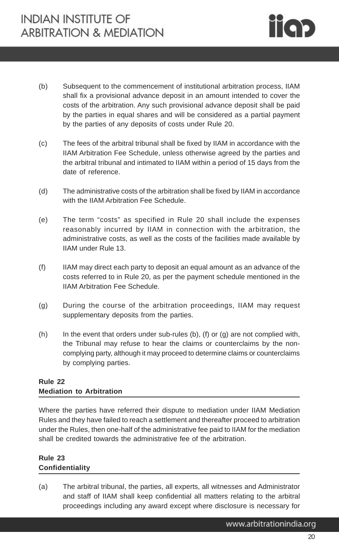

- (b) Subsequent to the commencement of institutional arbitration process, IIAM shall fix a provisional advance deposit in an amount intended to cover the costs of the arbitration. Any such provisional advance deposit shall be paid by the parties in equal shares and will be considered as a partial payment by the parties of any deposits of costs under Rule 20.
- (c) The fees of the arbitral tribunal shall be fixed by IIAM in accordance with the IIAM Arbitration Fee Schedule, unless otherwise agreed by the parties and the arbitral tribunal and intimated to IIAM within a period of 15 days from the date of reference.
- (d) The administrative costs of the arbitration shall be fixed by IIAM in accordance with the IIAM Arbitration Fee Schedule.
- (e) The term "costs" as specified in Rule 20 shall include the expenses reasonably incurred by IIAM in connection with the arbitration, the administrative costs, as well as the costs of the facilities made available by IIAM under Rule 13.
- (f) IIAM may direct each party to deposit an equal amount as an advance of the costs referred to in Rule 20, as per the payment schedule mentioned in the IIAM Arbitration Fee Schedule.
- (g) During the course of the arbitration proceedings, IIAM may request supplementary deposits from the parties.
- (h) In the event that orders under sub-rules (b), (f) or  $(g)$  are not complied with, the Tribunal may refuse to hear the claims or counterclaims by the noncomplying party, although it may proceed to determine claims or counterclaims by complying parties.

# **Rule 22 Mediation to Arbitration**

Where the parties have referred their dispute to mediation under IIAM Mediation Rules and they have failed to reach a settlement and thereafter proceed to arbitration under the Rules, then one-half of the administrative fee paid to IIAM for the mediation shall be credited towards the administrative fee of the arbitration.

# **Rule 23 Confidentiality**

(a) The arbitral tribunal, the parties, all experts, all witnesses and Administrator and staff of IIAM shall keep confidential all matters relating to the arbitral proceedings including any award except where disclosure is necessary for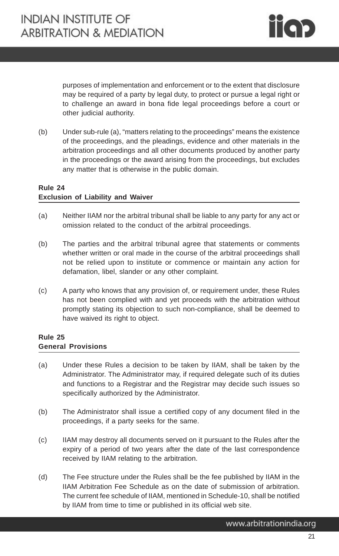

purposes of implementation and enforcement or to the extent that disclosure may be required of a party by legal duty, to protect or pursue a legal right or to challenge an award in bona fide legal proceedings before a court or other judicial authority.

(b) Under sub-rule (a), "matters relating to the proceedings" means the existence of the proceedings, and the pleadings, evidence and other materials in the arbitration proceedings and all other documents produced by another party in the proceedings or the award arising from the proceedings, but excludes any matter that is otherwise in the public domain.

#### **Rule 24 Exclusion of Liability and Waiver**

- (a) Neither IIAM nor the arbitral tribunal shall be liable to any party for any act or omission related to the conduct of the arbitral proceedings.
- (b) The parties and the arbitral tribunal agree that statements or comments whether written or oral made in the course of the arbitral proceedings shall not be relied upon to institute or commence or maintain any action for defamation, libel, slander or any other complaint.
- (c) A party who knows that any provision of, or requirement under, these Rules has not been complied with and yet proceeds with the arbitration without promptly stating its objection to such non-compliance, shall be deemed to have waived its right to object.

# **Rule 25 General Provisions**

- (a) Under these Rules a decision to be taken by IIAM, shall be taken by the Administrator. The Administrator may, if required delegate such of its duties and functions to a Registrar and the Registrar may decide such issues so specifically authorized by the Administrator.
- (b) The Administrator shall issue a certified copy of any document filed in the proceedings, if a party seeks for the same.
- (c) IIAM may destroy all documents served on it pursuant to the Rules after the expiry of a period of two years after the date of the last correspondence received by IIAM relating to the arbitration.
- (d) The Fee structure under the Rules shall be the fee published by IIAM in the IIAM Arbitration Fee Schedule as on the date of submission of arbitration. The current fee schedule of IIAM, mentioned in Schedule-10, shall be notified by IIAM from time to time or published in its official web site.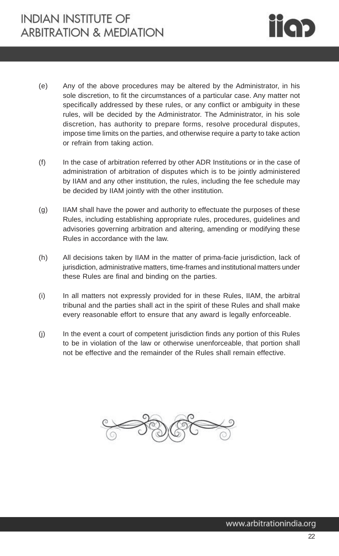

- (e) Any of the above procedures may be altered by the Administrator, in his sole discretion, to fit the circumstances of a particular case. Any matter not specifically addressed by these rules, or any conflict or ambiguity in these rules, will be decided by the Administrator. The Administrator, in his sole discretion, has authority to prepare forms, resolve procedural disputes, impose time limits on the parties, and otherwise require a party to take action or refrain from taking action.
- (f) In the case of arbitration referred by other ADR Institutions or in the case of administration of arbitration of disputes which is to be jointly administered by IIAM and any other institution, the rules, including the fee schedule may be decided by IIAM jointly with the other institution.
- (g) IIAM shall have the power and authority to effectuate the purposes of these Rules, including establishing appropriate rules, procedures, guidelines and advisories governing arbitration and altering, amending or modifying these Rules in accordance with the law.
- (h) All decisions taken by IIAM in the matter of prima-facie jurisdiction, lack of jurisdiction, administrative matters, time-frames and institutional matters under these Rules are final and binding on the parties.
- (i) In all matters not expressly provided for in these Rules, IIAM, the arbitral tribunal and the parties shall act in the spirit of these Rules and shall make every reasonable effort to ensure that any award is legally enforceable.
- (j) In the event a court of competent jurisdiction finds any portion of this Rules to be in violation of the law or otherwise unenforceable, that portion shall not be effective and the remainder of the Rules shall remain effective.

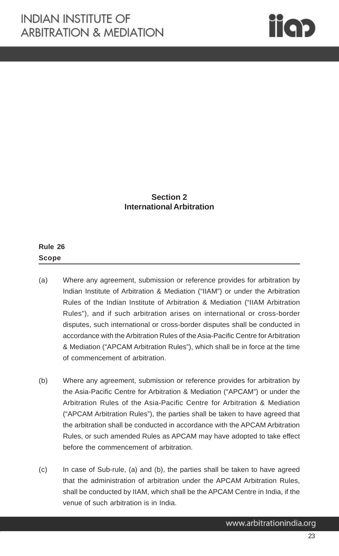

# **Section 2 International Arbitration**

# **Rule 26 Scope**

- (a) Where any agreement, submission or reference provides for arbitration by Indian Institute of Arbitration & Mediation ("IIAM") or under the Arbitration Rules of the Indian Institute of Arbitration & Mediation ("IIAM Arbitration Rules"), and if such arbitration arises on international or cross-border disputes, such international or cross-border disputes shall be conducted in accordance with the Arbitration Rules of the Asia-Pacific Centre for Arbitration & Mediation ("APCAM Arbitration Rules"), which shall be in force at the time of commencement of arbitration.
- (b) Where any agreement, submission or reference provides for arbitration by the Asia-Pacific Centre for Arbitration & Mediation ("APCAM") or under the Arbitration Rules of the Asia-Pacific Centre for Arbitration & Mediation ("APCAM Arbitration Rules"), the parties shall be taken to have agreed that the arbitration shall be conducted in accordance with the APCAM Arbitration Rules, or such amended Rules as APCAM may have adopted to take effect before the commencement of arbitration.
- (c) In case of Sub-rule, (a) and (b), the parties shall be taken to have agreed that the administration of arbitration under the APCAM Arbitration Rules, shall be conducted by IIAM, which shall be the APCAM Centre in India, if the venue of such arbitration is in India.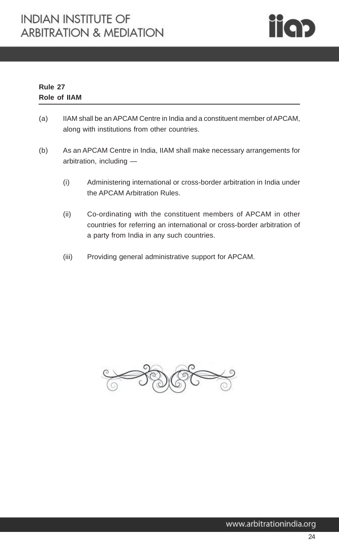

# **Rule 27 Role of IIAM**

- (a) IIAM shall be an APCAM Centre in India and a constituent member of APCAM, along with institutions from other countries.
- (b) As an APCAM Centre in India, IIAM shall make necessary arrangements for arbitration, including —
	- (i) Administering international or cross-border arbitration in India under the APCAM Arbitration Rules.
	- (ii) Co-ordinating with the constituent members of APCAM in other countries for referring an international or cross-border arbitration of a party from India in any such countries.
	- (iii) Providing general administrative support for APCAM.

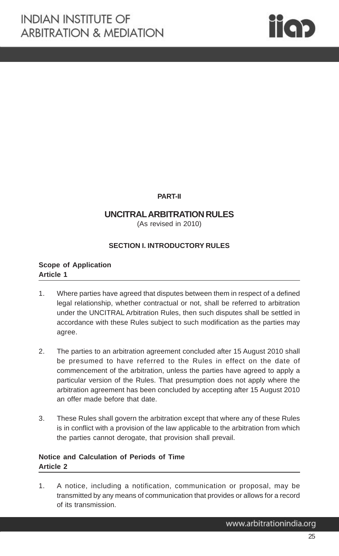

**PART-II**

# **UNCITRAL ARBITRATION RULES**

(As revised in 2010)

# **SECTION I. INTRODUCTORY RULES**

#### **Scope of Application Article 1**

- 1. Where parties have agreed that disputes between them in respect of a defined legal relationship, whether contractual or not, shall be referred to arbitration under the UNCITRAL Arbitration Rules, then such disputes shall be settled in accordance with these Rules subject to such modification as the parties may agree.
- 2. The parties to an arbitration agreement concluded after 15 August 2010 shall be presumed to have referred to the Rules in effect on the date of commencement of the arbitration, unless the parties have agreed to apply a particular version of the Rules. That presumption does not apply where the arbitration agreement has been concluded by accepting after 15 August 2010 an offer made before that date.
- 3. These Rules shall govern the arbitration except that where any of these Rules is in conflict with a provision of the law applicable to the arbitration from which the parties cannot derogate, that provision shall prevail.

# **Notice and Calculation of Periods of Time Article 2**

1. A notice, including a notification, communication or proposal, may be transmitted by any means of communication that provides or allows for a record of its transmission.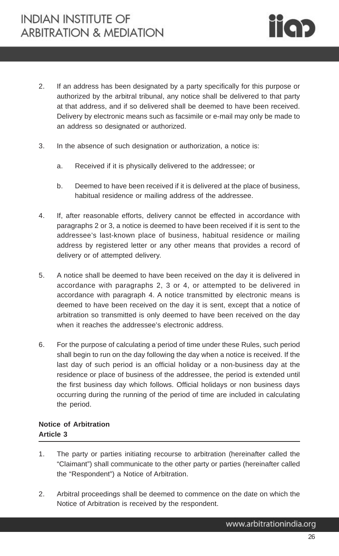

- 2. If an address has been designated by a party specifically for this purpose or authorized by the arbitral tribunal, any notice shall be delivered to that party at that address, and if so delivered shall be deemed to have been received. Delivery by electronic means such as facsimile or e-mail may only be made to an address so designated or authorized.
- 3. In the absence of such designation or authorization, a notice is:
	- a. Received if it is physically delivered to the addressee; or
	- b. Deemed to have been received if it is delivered at the place of business, habitual residence or mailing address of the addressee.
- 4. If, after reasonable efforts, delivery cannot be effected in accordance with paragraphs 2 or 3, a notice is deemed to have been received if it is sent to the addressee's last-known place of business, habitual residence or mailing address by registered letter or any other means that provides a record of delivery or of attempted delivery.
- 5. A notice shall be deemed to have been received on the day it is delivered in accordance with paragraphs 2, 3 or 4, or attempted to be delivered in accordance with paragraph 4. A notice transmitted by electronic means is deemed to have been received on the day it is sent, except that a notice of arbitration so transmitted is only deemed to have been received on the day when it reaches the addressee's electronic address.
- 6. For the purpose of calculating a period of time under these Rules, such period shall begin to run on the day following the day when a notice is received. If the last day of such period is an official holiday or a non-business day at the residence or place of business of the addressee, the period is extended until the first business day which follows. Official holidays or non business days occurring during the running of the period of time are included in calculating the period.

#### **Notice of Arbitration Article 3**

- 1. The party or parties initiating recourse to arbitration (hereinafter called the "Claimant") shall communicate to the other party or parties (hereinafter called the "Respondent") a Notice of Arbitration.
- 2. Arbitral proceedings shall be deemed to commence on the date on which the Notice of Arbitration is received by the respondent.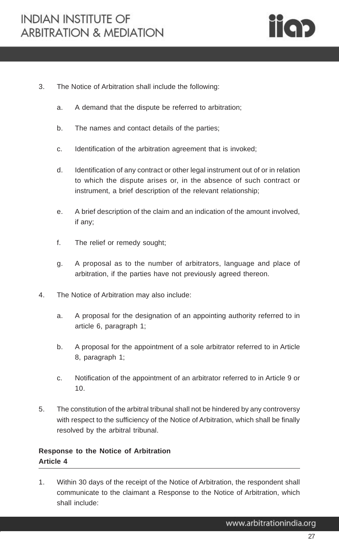

- 3. The Notice of Arbitration shall include the following:
	- a. A demand that the dispute be referred to arbitration;
	- b. The names and contact details of the parties;
	- c. Identification of the arbitration agreement that is invoked;
	- d. Identification of any contract or other legal instrument out of or in relation to which the dispute arises or, in the absence of such contract or instrument, a brief description of the relevant relationship;
	- e. A brief description of the claim and an indication of the amount involved, if any;
	- f. The relief or remedy sought;
	- g. A proposal as to the number of arbitrators, language and place of arbitration, if the parties have not previously agreed thereon.
- 4. The Notice of Arbitration may also include:
	- a. A proposal for the designation of an appointing authority referred to in article 6, paragraph 1;
	- b. A proposal for the appointment of a sole arbitrator referred to in Article 8, paragraph 1;
	- c. Notification of the appointment of an arbitrator referred to in Article 9 or 10.
- 5. The constitution of the arbitral tribunal shall not be hindered by any controversy with respect to the sufficiency of the Notice of Arbitration, which shall be finally resolved by the arbitral tribunal.

# **Response to the Notice of Arbitration Article 4**

1. Within 30 days of the receipt of the Notice of Arbitration, the respondent shall communicate to the claimant a Response to the Notice of Arbitration, which shall include: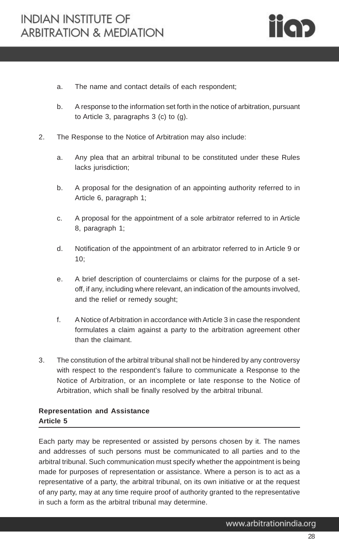

- a. The name and contact details of each respondent;
- b. A response to the information set forth in the notice of arbitration, pursuant to Article 3, paragraphs 3 (c) to (g).
- 2. The Response to the Notice of Arbitration may also include:
	- a. Any plea that an arbitral tribunal to be constituted under these Rules lacks jurisdiction;
	- b. A proposal for the designation of an appointing authority referred to in Article 6, paragraph 1;
	- c. A proposal for the appointment of a sole arbitrator referred to in Article 8, paragraph 1;
	- d. Notification of the appointment of an arbitrator referred to in Article 9 or 10;
	- e. A brief description of counterclaims or claims for the purpose of a setoff, if any, including where relevant, an indication of the amounts involved, and the relief or remedy sought;
	- f. A Notice of Arbitration in accordance with Article 3 in case the respondent formulates a claim against a party to the arbitration agreement other than the claimant.
- 3. The constitution of the arbitral tribunal shall not be hindered by any controversy with respect to the respondent's failure to communicate a Response to the Notice of Arbitration, or an incomplete or late response to the Notice of Arbitration, which shall be finally resolved by the arbitral tribunal.

# **Representation and Assistance Article 5**

Each party may be represented or assisted by persons chosen by it. The names and addresses of such persons must be communicated to all parties and to the arbitral tribunal. Such communication must specify whether the appointment is being made for purposes of representation or assistance. Where a person is to act as a representative of a party, the arbitral tribunal, on its own initiative or at the request of any party, may at any time require proof of authority granted to the representative in such a form as the arbitral tribunal may determine.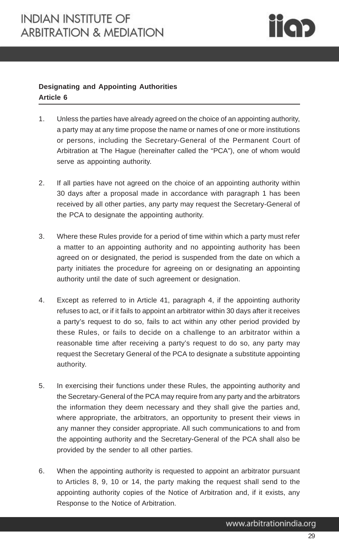

# **Designating and Appointing Authorities Article 6**

- 1. Unless the parties have already agreed on the choice of an appointing authority, a party may at any time propose the name or names of one or more institutions or persons, including the Secretary-General of the Permanent Court of Arbitration at The Hague (hereinafter called the "PCA"), one of whom would serve as appointing authority.
- 2. If all parties have not agreed on the choice of an appointing authority within 30 days after a proposal made in accordance with paragraph 1 has been received by all other parties, any party may request the Secretary-General of the PCA to designate the appointing authority.
- 3. Where these Rules provide for a period of time within which a party must refer a matter to an appointing authority and no appointing authority has been agreed on or designated, the period is suspended from the date on which a party initiates the procedure for agreeing on or designating an appointing authority until the date of such agreement or designation.
- 4. Except as referred to in Article 41, paragraph 4, if the appointing authority refuses to act, or if it fails to appoint an arbitrator within 30 days after it receives a party's request to do so, fails to act within any other period provided by these Rules, or fails to decide on a challenge to an arbitrator within a reasonable time after receiving a party's request to do so, any party may request the Secretary General of the PCA to designate a substitute appointing authority.
- 5. In exercising their functions under these Rules, the appointing authority and the Secretary-General of the PCA may require from any party and the arbitrators the information they deem necessary and they shall give the parties and, where appropriate, the arbitrators, an opportunity to present their views in any manner they consider appropriate. All such communications to and from the appointing authority and the Secretary-General of the PCA shall also be provided by the sender to all other parties.
- 6. When the appointing authority is requested to appoint an arbitrator pursuant to Articles 8, 9, 10 or 14, the party making the request shall send to the appointing authority copies of the Notice of Arbitration and, if it exists, any Response to the Notice of Arbitration.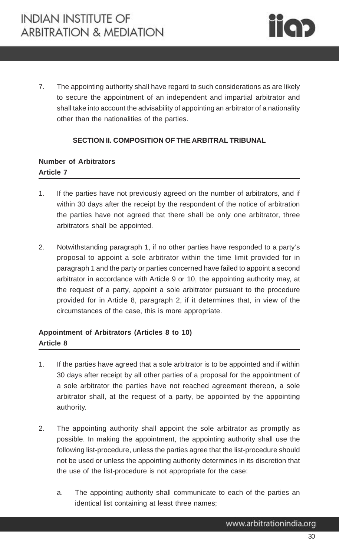

7. The appointing authority shall have regard to such considerations as are likely to secure the appointment of an independent and impartial arbitrator and shall take into account the advisability of appointing an arbitrator of a nationality other than the nationalities of the parties.

#### **SECTION II. COMPOSITION OF THE ARBITRAL TRIBUNAL**

# **Number of Arbitrators Article 7**

- 1. If the parties have not previously agreed on the number of arbitrators, and if within 30 days after the receipt by the respondent of the notice of arbitration the parties have not agreed that there shall be only one arbitrator, three arbitrators shall be appointed.
- 2. Notwithstanding paragraph 1, if no other parties have responded to a party's proposal to appoint a sole arbitrator within the time limit provided for in paragraph 1 and the party or parties concerned have failed to appoint a second arbitrator in accordance with Article 9 or 10, the appointing authority may, at the request of a party, appoint a sole arbitrator pursuant to the procedure provided for in Article 8, paragraph 2, if it determines that, in view of the circumstances of the case, this is more appropriate.

# **Appointment of Arbitrators (Articles 8 to 10) Article 8**

- 1. If the parties have agreed that a sole arbitrator is to be appointed and if within 30 days after receipt by all other parties of a proposal for the appointment of a sole arbitrator the parties have not reached agreement thereon, a sole arbitrator shall, at the request of a party, be appointed by the appointing authority.
- 2. The appointing authority shall appoint the sole arbitrator as promptly as possible. In making the appointment, the appointing authority shall use the following list-procedure, unless the parties agree that the list-procedure should not be used or unless the appointing authority determines in its discretion that the use of the list-procedure is not appropriate for the case:
	- a. The appointing authority shall communicate to each of the parties an identical list containing at least three names;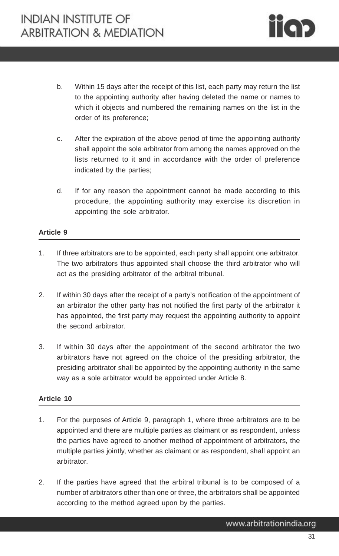

- b. Within 15 days after the receipt of this list, each party may return the list to the appointing authority after having deleted the name or names to which it objects and numbered the remaining names on the list in the order of its preference;
- c. After the expiration of the above period of time the appointing authority shall appoint the sole arbitrator from among the names approved on the lists returned to it and in accordance with the order of preference indicated by the parties;
- d. If for any reason the appointment cannot be made according to this procedure, the appointing authority may exercise its discretion in appointing the sole arbitrator.

## **Article 9**

- 1. If three arbitrators are to be appointed, each party shall appoint one arbitrator. The two arbitrators thus appointed shall choose the third arbitrator who will act as the presiding arbitrator of the arbitral tribunal.
- 2. If within 30 days after the receipt of a party's notification of the appointment of an arbitrator the other party has not notified the first party of the arbitrator it has appointed, the first party may request the appointing authority to appoint the second arbitrator.
- 3. If within 30 days after the appointment of the second arbitrator the two arbitrators have not agreed on the choice of the presiding arbitrator, the presiding arbitrator shall be appointed by the appointing authority in the same way as a sole arbitrator would be appointed under Article 8.

## **Article 10**

- 1. For the purposes of Article 9, paragraph 1, where three arbitrators are to be appointed and there are multiple parties as claimant or as respondent, unless the parties have agreed to another method of appointment of arbitrators, the multiple parties jointly, whether as claimant or as respondent, shall appoint an arbitrator.
- 2. If the parties have agreed that the arbitral tribunal is to be composed of a number of arbitrators other than one or three, the arbitrators shall be appointed according to the method agreed upon by the parties.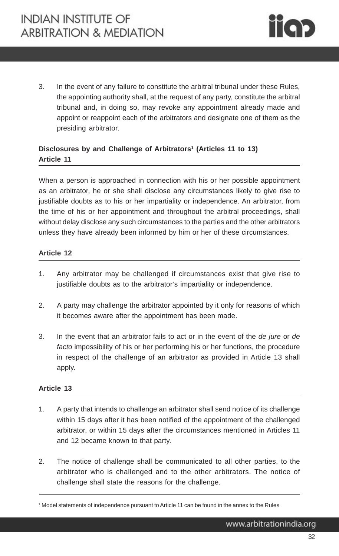

3. In the event of any failure to constitute the arbitral tribunal under these Rules, the appointing authority shall, at the request of any party, constitute the arbitral tribunal and, in doing so, may revoke any appointment already made and appoint or reappoint each of the arbitrators and designate one of them as the presiding arbitrator.

# **Disclosures by and Challenge of Arbitrators1 (Articles 11 to 13) Article 11**

When a person is approached in connection with his or her possible appointment as an arbitrator, he or she shall disclose any circumstances likely to give rise to justifiable doubts as to his or her impartiality or independence. An arbitrator, from the time of his or her appointment and throughout the arbitral proceedings, shall without delay disclose any such circumstances to the parties and the other arbitrators unless they have already been informed by him or her of these circumstances.

## **Article 12**

- 1. Any arbitrator may be challenged if circumstances exist that give rise to justifiable doubts as to the arbitrator's impartiality or independence.
- 2. A party may challenge the arbitrator appointed by it only for reasons of which it becomes aware after the appointment has been made.
- 3. In the event that an arbitrator fails to act or in the event of the *de jure* or *de facto* impossibility of his or her performing his or her functions, the procedure in respect of the challenge of an arbitrator as provided in Article 13 shall apply.

### **Article 13**

- 1. A party that intends to challenge an arbitrator shall send notice of its challenge within 15 days after it has been notified of the appointment of the challenged arbitrator, or within 15 days after the circumstances mentioned in Articles 11 and 12 became known to that party.
- 2. The notice of challenge shall be communicated to all other parties, to the arbitrator who is challenged and to the other arbitrators. The notice of challenge shall state the reasons for the challenge.

<sup>1</sup> Model statements of independence pursuant to Article 11 can be found in the annex to the Rules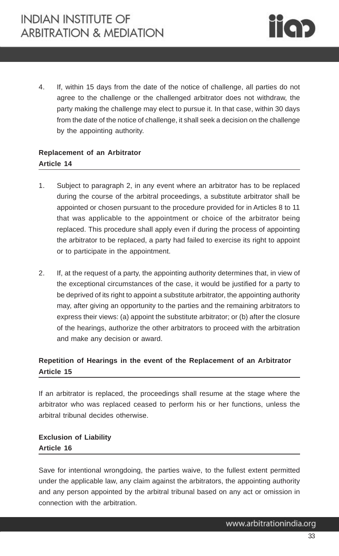

4. If, within 15 days from the date of the notice of challenge, all parties do not agree to the challenge or the challenged arbitrator does not withdraw, the party making the challenge may elect to pursue it. In that case, within 30 days from the date of the notice of challenge, it shall seek a decision on the challenge by the appointing authority.

# **Replacement of an Arbitrator Article 14**

- 1. Subject to paragraph 2, in any event where an arbitrator has to be replaced during the course of the arbitral proceedings, a substitute arbitrator shall be appointed or chosen pursuant to the procedure provided for in Articles 8 to 11 that was applicable to the appointment or choice of the arbitrator being replaced. This procedure shall apply even if during the process of appointing the arbitrator to be replaced, a party had failed to exercise its right to appoint or to participate in the appointment.
- 2. If, at the request of a party, the appointing authority determines that, in view of the exceptional circumstances of the case, it would be justified for a party to be deprived of its right to appoint a substitute arbitrator, the appointing authority may, after giving an opportunity to the parties and the remaining arbitrators to express their views: (a) appoint the substitute arbitrator; or (b) after the closure of the hearings, authorize the other arbitrators to proceed with the arbitration and make any decision or award.

# **Repetition of Hearings in the event of the Replacement of an Arbitrator Article 15**

If an arbitrator is replaced, the proceedings shall resume at the stage where the arbitrator who was replaced ceased to perform his or her functions, unless the arbitral tribunal decides otherwise.

# **Exclusion of Liability Article 16**

Save for intentional wrongdoing, the parties waive, to the fullest extent permitted under the applicable law, any claim against the arbitrators, the appointing authority and any person appointed by the arbitral tribunal based on any act or omission in connection with the arbitration.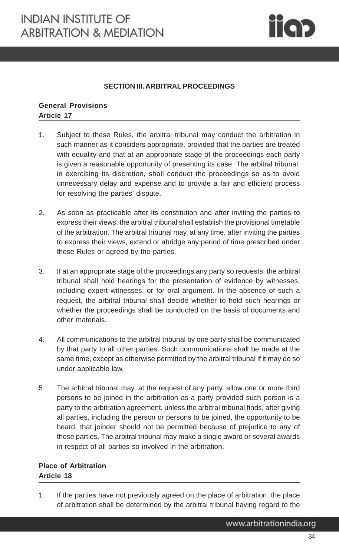

#### **SECTION III. ARBITRAL PROCEEDINGS**

#### **General Provisions Article 17**

- 1. Subject to these Rules, the arbitral tribunal may conduct the arbitration in such manner as it considers appropriate, provided that the parties are treated with equality and that at an appropriate stage of the proceedings each party is given a reasonable opportunity of presenting its case. The arbitral tribunal, in exercising its discretion, shall conduct the proceedings so as to avoid unnecessary delay and expense and to provide a fair and efficient process for resolving the parties' dispute.
- 2. As soon as practicable after its constitution and after inviting the parties to express their views, the arbitral tribunal shall establish the provisional timetable of the arbitration. The arbitral tribunal may, at any time, after inviting the parties to express their views, extend or abridge any period of time prescribed under these Rules or agreed by the parties.
- 3. If at an appropriate stage of the proceedings any party so requests, the arbitral tribunal shall hold hearings for the presentation of evidence by witnesses, including expert witnesses, or for oral argument. In the absence of such a request, the arbitral tribunal shall decide whether to hold such hearings or whether the proceedings shall be conducted on the basis of documents and other materials.
- 4. All communications to the arbitral tribunal by one party shall be communicated by that party to all other parties. Such communications shall be made at the same time, except as otherwise permitted by the arbitral tribunal if it may do so under applicable law.
- 5. The arbitral tribunal may, at the request of any party, allow one or more third persons to be joined in the arbitration as a party provided such person is a party to the arbitration agreement, unless the arbitral tribunal finds, after giving all parties, including the person or persons to be joined, the opportunity to be heard, that joinder should not be permitted because of prejudice to any of those parties. The arbitral tribunal may make a single award or several awards in respect of all parties so involved in the arbitration.

## **Place of Arbitration Article 18**

1. If the parties have not previously agreed on the place of arbitration, the place of arbitration shall be determined by the arbitral tribunal having regard to the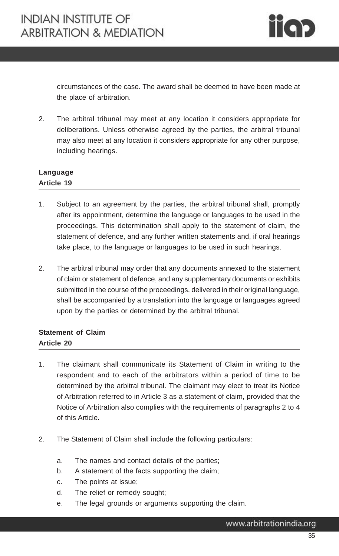

circumstances of the case. The award shall be deemed to have been made at the place of arbitration.

2. The arbitral tribunal may meet at any location it considers appropriate for deliberations. Unless otherwise agreed by the parties, the arbitral tribunal may also meet at any location it considers appropriate for any other purpose, including hearings.

## **Language Article 19**

- 1. Subject to an agreement by the parties, the arbitral tribunal shall, promptly after its appointment, determine the language or languages to be used in the proceedings. This determination shall apply to the statement of claim, the statement of defence, and any further written statements and, if oral hearings take place, to the language or languages to be used in such hearings.
- 2. The arbitral tribunal may order that any documents annexed to the statement of claim or statement of defence, and any supplementary documents or exhibits submitted in the course of the proceedings, delivered in their original language, shall be accompanied by a translation into the language or languages agreed upon by the parties or determined by the arbitral tribunal.

# **Statement of Claim Article 20**

- 1. The claimant shall communicate its Statement of Claim in writing to the respondent and to each of the arbitrators within a period of time to be determined by the arbitral tribunal. The claimant may elect to treat its Notice of Arbitration referred to in Article 3 as a statement of claim, provided that the Notice of Arbitration also complies with the requirements of paragraphs 2 to 4 of this Article.
- 2. The Statement of Claim shall include the following particulars:
	- a. The names and contact details of the parties;
	- b. A statement of the facts supporting the claim;
	- c. The points at issue;
	- d. The relief or remedy sought;
	- e. The legal grounds or arguments supporting the claim.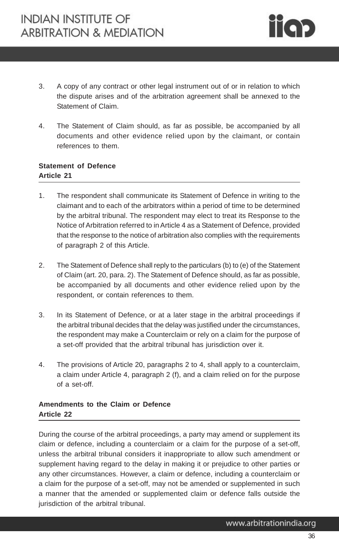

- 3. A copy of any contract or other legal instrument out of or in relation to which the dispute arises and of the arbitration agreement shall be annexed to the Statement of Claim.
- 4. The Statement of Claim should, as far as possible, be accompanied by all documents and other evidence relied upon by the claimant, or contain references to them.

## **Statement of Defence Article 21**

- 1. The respondent shall communicate its Statement of Defence in writing to the claimant and to each of the arbitrators within a period of time to be determined by the arbitral tribunal. The respondent may elect to treat its Response to the Notice of Arbitration referred to in Article 4 as a Statement of Defence, provided that the response to the notice of arbitration also complies with the requirements of paragraph 2 of this Article.
- 2. The Statement of Defence shall reply to the particulars (b) to (e) of the Statement of Claim (art. 20, para. 2). The Statement of Defence should, as far as possible, be accompanied by all documents and other evidence relied upon by the respondent, or contain references to them.
- 3. In its Statement of Defence, or at a later stage in the arbitral proceedings if the arbitral tribunal decides that the delay was justified under the circumstances, the respondent may make a Counterclaim or rely on a claim for the purpose of a set-off provided that the arbitral tribunal has jurisdiction over it.
- 4. The provisions of Article 20, paragraphs 2 to 4, shall apply to a counterclaim, a claim under Article 4, paragraph 2 (f), and a claim relied on for the purpose of a set-off.

## **Amendments to the Claim or Defence Article 22**

During the course of the arbitral proceedings, a party may amend or supplement its claim or defence, including a counterclaim or a claim for the purpose of a set-off, unless the arbitral tribunal considers it inappropriate to allow such amendment or supplement having regard to the delay in making it or prejudice to other parties or any other circumstances. However, a claim or defence, including a counterclaim or a claim for the purpose of a set-off, may not be amended or supplemented in such a manner that the amended or supplemented claim or defence falls outside the jurisdiction of the arbitral tribunal.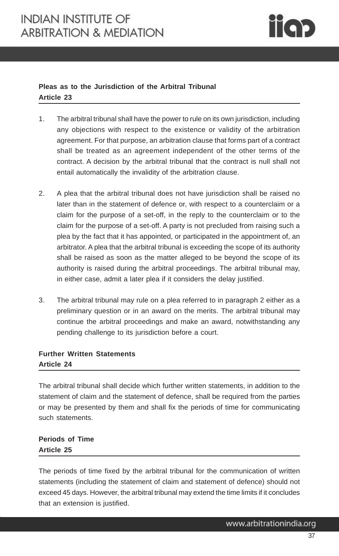

# **Pleas as to the Jurisdiction of the Arbitral Tribunal Article 23**

- 1. The arbitral tribunal shall have the power to rule on its own jurisdiction, including any objections with respect to the existence or validity of the arbitration agreement. For that purpose, an arbitration clause that forms part of a contract shall be treated as an agreement independent of the other terms of the contract. A decision by the arbitral tribunal that the contract is null shall not entail automatically the invalidity of the arbitration clause.
- 2. A plea that the arbitral tribunal does not have jurisdiction shall be raised no later than in the statement of defence or, with respect to a counterclaim or a claim for the purpose of a set-off, in the reply to the counterclaim or to the claim for the purpose of a set-off. A party is not precluded from raising such a plea by the fact that it has appointed, or participated in the appointment of, an arbitrator. A plea that the arbitral tribunal is exceeding the scope of its authority shall be raised as soon as the matter alleged to be beyond the scope of its authority is raised during the arbitral proceedings. The arbitral tribunal may, in either case, admit a later plea if it considers the delay justified.
- 3. The arbitral tribunal may rule on a plea referred to in paragraph 2 either as a preliminary question or in an award on the merits. The arbitral tribunal may continue the arbitral proceedings and make an award, notwithstanding any pending challenge to its jurisdiction before a court.

## **Further Written Statements Article 24**

The arbitral tribunal shall decide which further written statements, in addition to the statement of claim and the statement of defence, shall be required from the parties or may be presented by them and shall fix the periods of time for communicating such statements.

**Periods of Time Article 25**

The periods of time fixed by the arbitral tribunal for the communication of written statements (including the statement of claim and statement of defence) should not exceed 45 days. However, the arbitral tribunal may extend the time limits if it concludes that an extension is justified.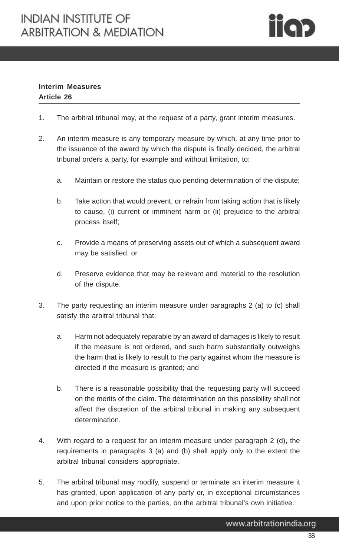

# **Interim Measures Article 26**

- 1. The arbitral tribunal may, at the request of a party, grant interim measures.
- 2. An interim measure is any temporary measure by which, at any time prior to the issuance of the award by which the dispute is finally decided, the arbitral tribunal orders a party, for example and without limitation, to:
	- a. Maintain or restore the status quo pending determination of the dispute;
	- b. Take action that would prevent, or refrain from taking action that is likely to cause, (i) current or imminent harm or (ii) prejudice to the arbitral process itself;
	- c. Provide a means of preserving assets out of which a subsequent award may be satisfied; or
	- d. Preserve evidence that may be relevant and material to the resolution of the dispute.
- 3. The party requesting an interim measure under paragraphs 2 (a) to (c) shall satisfy the arbitral tribunal that:
	- a. Harm not adequately reparable by an award of damages is likely to result if the measure is not ordered, and such harm substantially outweighs the harm that is likely to result to the party against whom the measure is directed if the measure is granted; and
	- b. There is a reasonable possibility that the requesting party will succeed on the merits of the claim. The determination on this possibility shall not affect the discretion of the arbitral tribunal in making any subsequent determination.
- 4. With regard to a request for an interim measure under paragraph 2 (d), the requirements in paragraphs 3 (a) and (b) shall apply only to the extent the arbitral tribunal considers appropriate.
- 5. The arbitral tribunal may modify, suspend or terminate an interim measure it has granted, upon application of any party or, in exceptional circumstances and upon prior notice to the parties, on the arbitral tribunal's own initiative.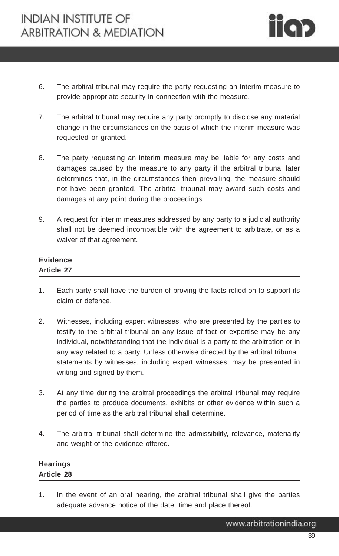

- 6. The arbitral tribunal may require the party requesting an interim measure to provide appropriate security in connection with the measure.
- 7. The arbitral tribunal may require any party promptly to disclose any material change in the circumstances on the basis of which the interim measure was requested or granted.
- 8. The party requesting an interim measure may be liable for any costs and damages caused by the measure to any party if the arbitral tribunal later determines that, in the circumstances then prevailing, the measure should not have been granted. The arbitral tribunal may award such costs and damages at any point during the proceedings.
- 9. A request for interim measures addressed by any party to a judicial authority shall not be deemed incompatible with the agreement to arbitrate, or as a waiver of that agreement.

#### **Evidence Article 27**

- 1. Each party shall have the burden of proving the facts relied on to support its claim or defence.
- 2. Witnesses, including expert witnesses, who are presented by the parties to testify to the arbitral tribunal on any issue of fact or expertise may be any individual, notwithstanding that the individual is a party to the arbitration or in any way related to a party. Unless otherwise directed by the arbitral tribunal, statements by witnesses, including expert witnesses, may be presented in writing and signed by them.
- 3. At any time during the arbitral proceedings the arbitral tribunal may require the parties to produce documents, exhibits or other evidence within such a period of time as the arbitral tribunal shall determine.
- 4. The arbitral tribunal shall determine the admissibility, relevance, materiality and weight of the evidence offered.

### **Hearings Article 28**

1. In the event of an oral hearing, the arbitral tribunal shall give the parties adequate advance notice of the date, time and place thereof.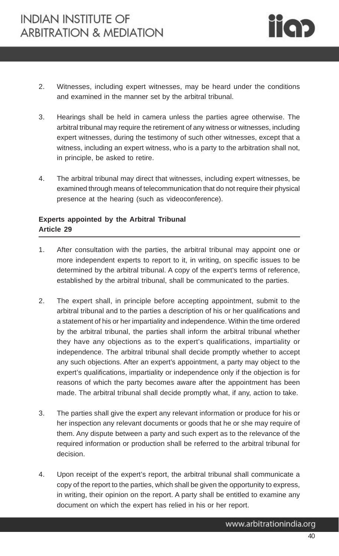

- 2. Witnesses, including expert witnesses, may be heard under the conditions and examined in the manner set by the arbitral tribunal.
- 3. Hearings shall be held in camera unless the parties agree otherwise. The arbitral tribunal may require the retirement of any witness or witnesses, including expert witnesses, during the testimony of such other witnesses, except that a witness, including an expert witness, who is a party to the arbitration shall not, in principle, be asked to retire.
- 4. The arbitral tribunal may direct that witnesses, including expert witnesses, be examined through means of telecommunication that do not require their physical presence at the hearing (such as videoconference).

## **Experts appointed by the Arbitral Tribunal Article 29**

- 1. After consultation with the parties, the arbitral tribunal may appoint one or more independent experts to report to it, in writing, on specific issues to be determined by the arbitral tribunal. A copy of the expert's terms of reference, established by the arbitral tribunal, shall be communicated to the parties.
- 2. The expert shall, in principle before accepting appointment, submit to the arbitral tribunal and to the parties a description of his or her qualifications and a statement of his or her impartiality and independence. Within the time ordered by the arbitral tribunal, the parties shall inform the arbitral tribunal whether they have any objections as to the expert's qualifications, impartiality or independence. The arbitral tribunal shall decide promptly whether to accept any such objections. After an expert's appointment, a party may object to the expert's qualifications, impartiality or independence only if the objection is for reasons of which the party becomes aware after the appointment has been made. The arbitral tribunal shall decide promptly what, if any, action to take.
- 3. The parties shall give the expert any relevant information or produce for his or her inspection any relevant documents or goods that he or she may require of them. Any dispute between a party and such expert as to the relevance of the required information or production shall be referred to the arbitral tribunal for decision.
- 4. Upon receipt of the expert's report, the arbitral tribunal shall communicate a copy of the report to the parties, which shall be given the opportunity to express, in writing, their opinion on the report. A party shall be entitled to examine any document on which the expert has relied in his or her report.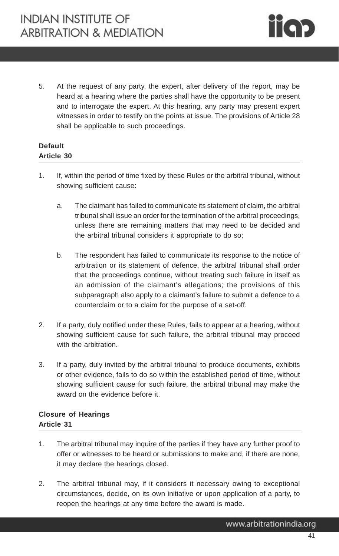

5. At the request of any party, the expert, after delivery of the report, may be heard at a hearing where the parties shall have the opportunity to be present and to interrogate the expert. At this hearing, any party may present expert witnesses in order to testify on the points at issue. The provisions of Article 28 shall be applicable to such proceedings.

## **Default Article 30**

- 1. If, within the period of time fixed by these Rules or the arbitral tribunal, without showing sufficient cause:
	- a. The claimant has failed to communicate its statement of claim, the arbitral tribunal shall issue an order for the termination of the arbitral proceedings, unless there are remaining matters that may need to be decided and the arbitral tribunal considers it appropriate to do so;
	- b. The respondent has failed to communicate its response to the notice of arbitration or its statement of defence, the arbitral tribunal shall order that the proceedings continue, without treating such failure in itself as an admission of the claimant's allegations; the provisions of this subparagraph also apply to a claimant's failure to submit a defence to a counterclaim or to a claim for the purpose of a set-off.
- 2. If a party, duly notified under these Rules, fails to appear at a hearing, without showing sufficient cause for such failure, the arbitral tribunal may proceed with the arbitration.
- 3. If a party, duly invited by the arbitral tribunal to produce documents, exhibits or other evidence, fails to do so within the established period of time, without showing sufficient cause for such failure, the arbitral tribunal may make the award on the evidence before it.

## **Closure of Hearings Article 31**

- 1. The arbitral tribunal may inquire of the parties if they have any further proof to offer or witnesses to be heard or submissions to make and, if there are none, it may declare the hearings closed.
- 2. The arbitral tribunal may, if it considers it necessary owing to exceptional circumstances, decide, on its own initiative or upon application of a party, to reopen the hearings at any time before the award is made.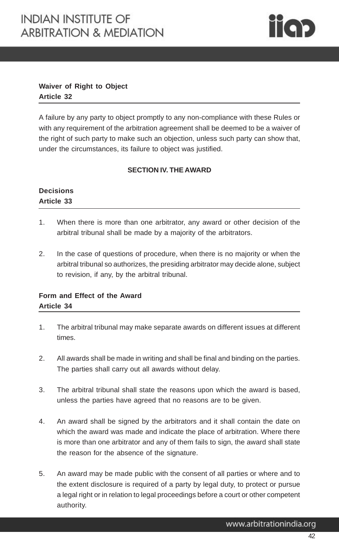

# **Waiver of Right to Object Article 32**

A failure by any party to object promptly to any non-compliance with these Rules or with any requirement of the arbitration agreement shall be deemed to be a waiver of the right of such party to make such an objection, unless such party can show that, under the circumstances, its failure to object was justified.

## **SECTION IV. THE AWARD**

#### **Decisions Article 33**

- 1. When there is more than one arbitrator, any award or other decision of the arbitral tribunal shall be made by a majority of the arbitrators.
- 2. In the case of questions of procedure, when there is no majority or when the arbitral tribunal so authorizes, the presiding arbitrator may decide alone, subject to revision, if any, by the arbitral tribunal.

# **Form and Effect of the Award Article 34**

- 1. The arbitral tribunal may make separate awards on different issues at different times.
- 2. All awards shall be made in writing and shall be final and binding on the parties. The parties shall carry out all awards without delay.
- 3. The arbitral tribunal shall state the reasons upon which the award is based, unless the parties have agreed that no reasons are to be given.
- 4. An award shall be signed by the arbitrators and it shall contain the date on which the award was made and indicate the place of arbitration. Where there is more than one arbitrator and any of them fails to sign, the award shall state the reason for the absence of the signature.
- 5. An award may be made public with the consent of all parties or where and to the extent disclosure is required of a party by legal duty, to protect or pursue a legal right or in relation to legal proceedings before a court or other competent authority.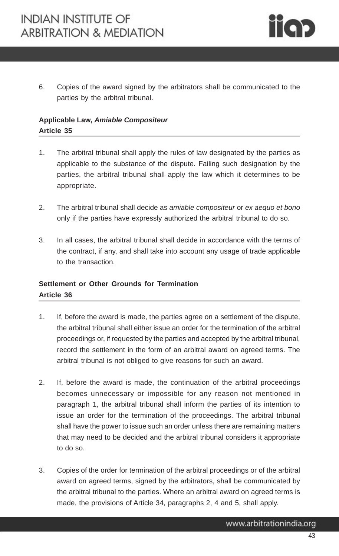

6. Copies of the award signed by the arbitrators shall be communicated to the parties by the arbitral tribunal.

## **Applicable Law,** *Amiable Compositeur* **Article 35**

- 1. The arbitral tribunal shall apply the rules of law designated by the parties as applicable to the substance of the dispute. Failing such designation by the parties, the arbitral tribunal shall apply the law which it determines to be appropriate.
- 2. The arbitral tribunal shall decide as *amiable compositeur* or *ex aequo et bono* only if the parties have expressly authorized the arbitral tribunal to do so.
- 3. In all cases, the arbitral tribunal shall decide in accordance with the terms of the contract, if any, and shall take into account any usage of trade applicable to the transaction.

# **Settlement or Other Grounds for Termination Article 36**

- 1. If, before the award is made, the parties agree on a settlement of the dispute, the arbitral tribunal shall either issue an order for the termination of the arbitral proceedings or, if requested by the parties and accepted by the arbitral tribunal, record the settlement in the form of an arbitral award on agreed terms. The arbitral tribunal is not obliged to give reasons for such an award.
- 2. If, before the award is made, the continuation of the arbitral proceedings becomes unnecessary or impossible for any reason not mentioned in paragraph 1, the arbitral tribunal shall inform the parties of its intention to issue an order for the termination of the proceedings. The arbitral tribunal shall have the power to issue such an order unless there are remaining matters that may need to be decided and the arbitral tribunal considers it appropriate to do so.
- 3. Copies of the order for termination of the arbitral proceedings or of the arbitral award on agreed terms, signed by the arbitrators, shall be communicated by the arbitral tribunal to the parties. Where an arbitral award on agreed terms is made, the provisions of Article 34, paragraphs 2, 4 and 5, shall apply.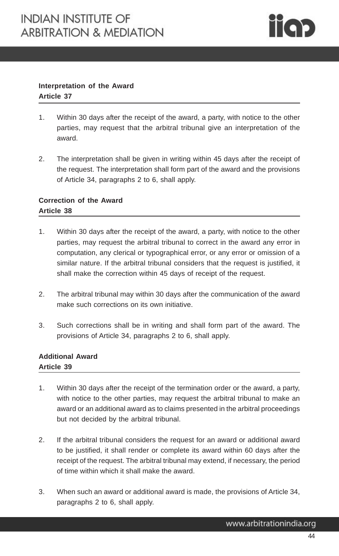

# **Interpretation of the Award Article 37**

- 1. Within 30 days after the receipt of the award, a party, with notice to the other parties, may request that the arbitral tribunal give an interpretation of the award.
- 2. The interpretation shall be given in writing within 45 days after the receipt of the request. The interpretation shall form part of the award and the provisions of Article 34, paragraphs 2 to 6, shall apply.

## **Correction of the Award Article 38**

- 1. Within 30 days after the receipt of the award, a party, with notice to the other parties, may request the arbitral tribunal to correct in the award any error in computation, any clerical or typographical error, or any error or omission of a similar nature. If the arbitral tribunal considers that the request is justified, it shall make the correction within 45 days of receipt of the request.
- 2. The arbitral tribunal may within 30 days after the communication of the award make such corrections on its own initiative.
- 3. Such corrections shall be in writing and shall form part of the award. The provisions of Article 34, paragraphs 2 to 6, shall apply.

## **Additional Award Article 39**

- 1. Within 30 days after the receipt of the termination order or the award, a party, with notice to the other parties, may request the arbitral tribunal to make an award or an additional award as to claims presented in the arbitral proceedings but not decided by the arbitral tribunal.
- 2. If the arbitral tribunal considers the request for an award or additional award to be justified, it shall render or complete its award within 60 days after the receipt of the request. The arbitral tribunal may extend, if necessary, the period of time within which it shall make the award.
- 3. When such an award or additional award is made, the provisions of Article 34, paragraphs 2 to 6, shall apply.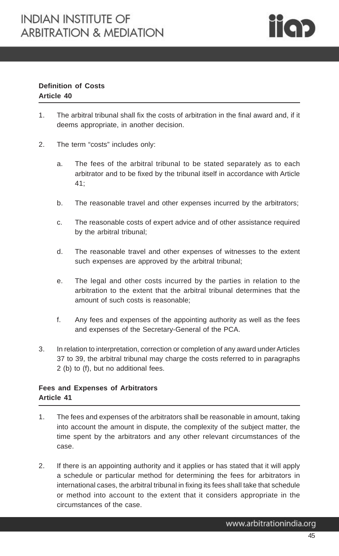

# **Definition of Costs Article 40**

- 1. The arbitral tribunal shall fix the costs of arbitration in the final award and, if it deems appropriate, in another decision.
- 2. The term "costs" includes only:
	- a. The fees of the arbitral tribunal to be stated separately as to each arbitrator and to be fixed by the tribunal itself in accordance with Article 41;
	- b. The reasonable travel and other expenses incurred by the arbitrators;
	- c. The reasonable costs of expert advice and of other assistance required by the arbitral tribunal;
	- d. The reasonable travel and other expenses of witnesses to the extent such expenses are approved by the arbitral tribunal;
	- e. The legal and other costs incurred by the parties in relation to the arbitration to the extent that the arbitral tribunal determines that the amount of such costs is reasonable;
	- f. Any fees and expenses of the appointing authority as well as the fees and expenses of the Secretary-General of the PCA.
- 3. In relation to interpretation, correction or completion of any award under Articles 37 to 39, the arbitral tribunal may charge the costs referred to in paragraphs 2 (b) to (f), but no additional fees.

## **Fees and Expenses of Arbitrators Article 41**

- 1. The fees and expenses of the arbitrators shall be reasonable in amount, taking into account the amount in dispute, the complexity of the subject matter, the time spent by the arbitrators and any other relevant circumstances of the case.
- 2. If there is an appointing authority and it applies or has stated that it will apply a schedule or particular method for determining the fees for arbitrators in international cases, the arbitral tribunal in fixing its fees shall take that schedule or method into account to the extent that it considers appropriate in the circumstances of the case.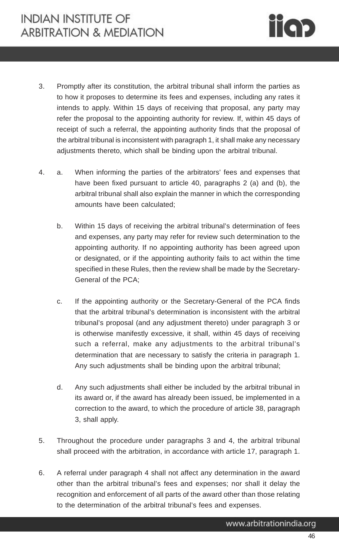

- 3. Promptly after its constitution, the arbitral tribunal shall inform the parties as to how it proposes to determine its fees and expenses, including any rates it intends to apply. Within 15 days of receiving that proposal, any party may refer the proposal to the appointing authority for review. If, within 45 days of receipt of such a referral, the appointing authority finds that the proposal of the arbitral tribunal is inconsistent with paragraph 1, it shall make any necessary adjustments thereto, which shall be binding upon the arbitral tribunal.
- 4. a. When informing the parties of the arbitrators' fees and expenses that have been fixed pursuant to article 40, paragraphs 2 (a) and (b), the arbitral tribunal shall also explain the manner in which the corresponding amounts have been calculated;
	- b. Within 15 days of receiving the arbitral tribunal's determination of fees and expenses, any party may refer for review such determination to the appointing authority. If no appointing authority has been agreed upon or designated, or if the appointing authority fails to act within the time specified in these Rules, then the review shall be made by the Secretary-General of the PCA;
	- c. If the appointing authority or the Secretary-General of the PCA finds that the arbitral tribunal's determination is inconsistent with the arbitral tribunal's proposal (and any adjustment thereto) under paragraph 3 or is otherwise manifestly excessive, it shall, within 45 days of receiving such a referral, make any adjustments to the arbitral tribunal's determination that are necessary to satisfy the criteria in paragraph 1. Any such adjustments shall be binding upon the arbitral tribunal;
	- d. Any such adjustments shall either be included by the arbitral tribunal in its award or, if the award has already been issued, be implemented in a correction to the award, to which the procedure of article 38, paragraph 3, shall apply.
- 5. Throughout the procedure under paragraphs 3 and 4, the arbitral tribunal shall proceed with the arbitration, in accordance with article 17, paragraph 1.
- 6. A referral under paragraph 4 shall not affect any determination in the award other than the arbitral tribunal's fees and expenses; nor shall it delay the recognition and enforcement of all parts of the award other than those relating to the determination of the arbitral tribunal's fees and expenses.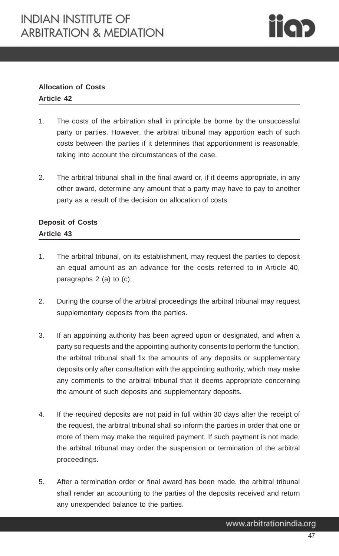

# **Allocation of Costs Article 42**

- 1. The costs of the arbitration shall in principle be borne by the unsuccessful party or parties. However, the arbitral tribunal may apportion each of such costs between the parties if it determines that apportionment is reasonable, taking into account the circumstances of the case.
- 2. The arbitral tribunal shall in the final award or, if it deems appropriate, in any other award, determine any amount that a party may have to pay to another party as a result of the decision on allocation of costs.

## **Deposit of Costs Article 43**

- 1. The arbitral tribunal, on its establishment, may request the parties to deposit an equal amount as an advance for the costs referred to in Article 40, paragraphs 2 (a) to (c).
- 2. During the course of the arbitral proceedings the arbitral tribunal may request supplementary deposits from the parties.
- 3. If an appointing authority has been agreed upon or designated, and when a party so requests and the appointing authority consents to perform the function, the arbitral tribunal shall fix the amounts of any deposits or supplementary deposits only after consultation with the appointing authority, which may make any comments to the arbitral tribunal that it deems appropriate concerning the amount of such deposits and supplementary deposits.
- 4. If the required deposits are not paid in full within 30 days after the receipt of the request, the arbitral tribunal shall so inform the parties in order that one or more of them may make the required payment. If such payment is not made, the arbitral tribunal may order the suspension or termination of the arbitral proceedings.
- 5. After a termination order or final award has been made, the arbitral tribunal shall render an accounting to the parties of the deposits received and return any unexpended balance to the parties.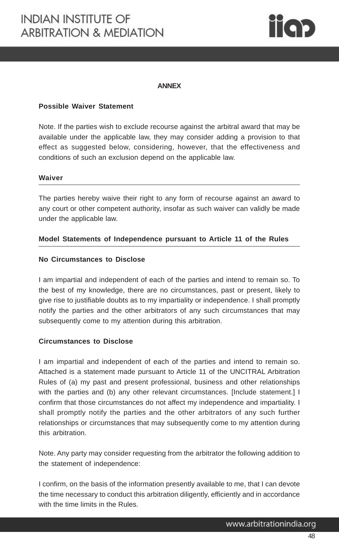

#### **ANNEX**

#### **Possible Waiver Statement**

Note. If the parties wish to exclude recourse against the arbitral award that may be available under the applicable law, they may consider adding a provision to that effect as suggested below, considering, however, that the effectiveness and conditions of such an exclusion depend on the applicable law.

#### **Waiver**

The parties hereby waive their right to any form of recourse against an award to any court or other competent authority, insofar as such waiver can validly be made under the applicable law.

#### **Model Statements of Independence pursuant to Article 11 of the Rules**

#### **No Circumstances to Disclose**

I am impartial and independent of each of the parties and intend to remain so. To the best of my knowledge, there are no circumstances, past or present, likely to give rise to justifiable doubts as to my impartiality or independence. I shall promptly notify the parties and the other arbitrators of any such circumstances that may subsequently come to my attention during this arbitration.

#### **Circumstances to Disclose**

I am impartial and independent of each of the parties and intend to remain so. Attached is a statement made pursuant to Article 11 of the UNCITRAL Arbitration Rules of (a) my past and present professional, business and other relationships with the parties and (b) any other relevant circumstances. [Include statement.] I confirm that those circumstances do not affect my independence and impartiality. I shall promptly notify the parties and the other arbitrators of any such further relationships or circumstances that may subsequently come to my attention during this arbitration.

Note. Any party may consider requesting from the arbitrator the following addition to the statement of independence:

I confirm, on the basis of the information presently available to me, that I can devote the time necessary to conduct this arbitration diligently, efficiently and in accordance with the time limits in the Rules.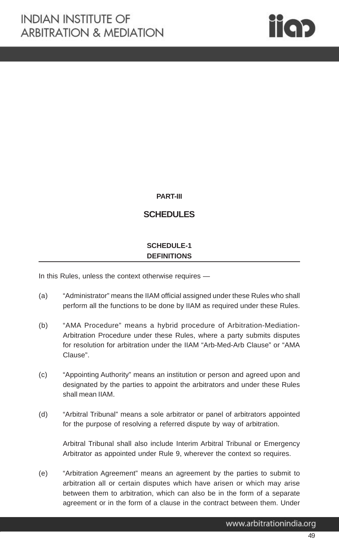

## **PART-III**

# **SCHEDULES**

## **SCHEDULE-1 DEFINITIONS**

In this Rules, unless the context otherwise requires —

- (a) "Administrator" means the IIAM official assigned under these Rules who shall perform all the functions to be done by IIAM as required under these Rules.
- (b) "AMA Procedure" means a hybrid procedure of Arbitration-Mediation-Arbitration Procedure under these Rules, where a party submits disputes for resolution for arbitration under the IIAM "Arb-Med-Arb Clause" or "AMA Clause".
- (c) "Appointing Authority" means an institution or person and agreed upon and designated by the parties to appoint the arbitrators and under these Rules shall mean IIAM.
- (d) "Arbitral Tribunal" means a sole arbitrator or panel of arbitrators appointed for the purpose of resolving a referred dispute by way of arbitration.

Arbitral Tribunal shall also include Interim Arbitral Tribunal or Emergency Arbitrator as appointed under Rule 9, wherever the context so requires.

(e) "Arbitration Agreement" means an agreement by the parties to submit to arbitration all or certain disputes which have arisen or which may arise between them to arbitration, which can also be in the form of a separate agreement or in the form of a clause in the contract between them. Under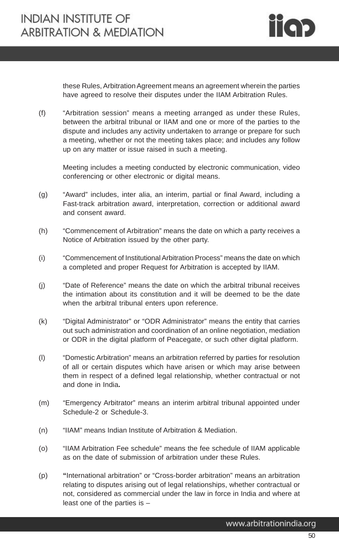

these Rules, Arbitration Agreement means an agreement wherein the parties have agreed to resolve their disputes under the IIAM Arbitration Rules.

(f) "Arbitration session" means a meeting arranged as under these Rules, between the arbitral tribunal or IIAM and one or more of the parties to the dispute and includes any activity undertaken to arrange or prepare for such a meeting, whether or not the meeting takes place; and includes any follow up on any matter or issue raised in such a meeting.

Meeting includes a meeting conducted by electronic communication, video conferencing or other electronic or digital means.

- (g) "Award" includes, inter alia, an interim, partial or final Award, including a Fast-track arbitration award, interpretation, correction or additional award and consent award.
- (h) "Commencement of Arbitration" means the date on which a party receives a Notice of Arbitration issued by the other party.
- (i) "Commencement of Institutional Arbitration Process" means the date on which a completed and proper Request for Arbitration is accepted by IIAM.
- (j) "Date of Reference" means the date on which the arbitral tribunal receives the intimation about its constitution and it will be deemed to be the date when the arbitral tribunal enters upon reference.
- (k) "Digital Administrator" or "ODR Administrator" means the entity that carries out such administration and coordination of an online negotiation, mediation or ODR in the digital platform of Peacegate, or such other digital platform.
- (l) "Domestic Arbitration" means an arbitration referred by parties for resolution of all or certain disputes which have arisen or which may arise between them in respect of a defined legal relationship, whether contractual or not and done in India**.**
- (m) "Emergency Arbitrator" means an interim arbitral tribunal appointed under Schedule-2 or Schedule-3.
- (n) "IIAM" means Indian Institute of Arbitration & Mediation.
- (o) "IIAM Arbitration Fee schedule" means the fee schedule of IIAM applicable as on the date of submission of arbitration under these Rules.
- (p) **"**International arbitration" or "Cross-border arbitration" means an arbitration relating to disputes arising out of legal relationships, whether contractual or not, considered as commercial under the law in force in India and where at least one of the parties is –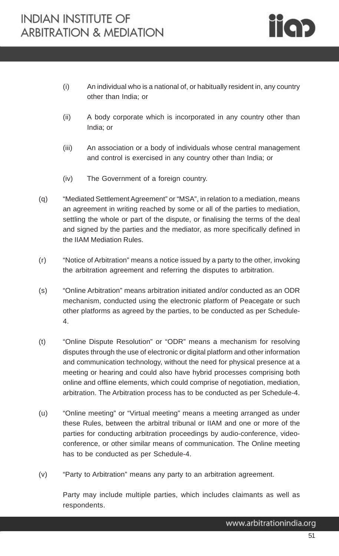

- (i) An individual who is a national of, or habitually resident in, any country other than India; or
- (ii) A body corporate which is incorporated in any country other than India; or
- (iii) An association or a body of individuals whose central management and control is exercised in any country other than India; or
- (iv) The Government of a foreign country.
- (q) "Mediated Settlement Agreement" or "MSA", in relation to a mediation, means an agreement in writing reached by some or all of the parties to mediation, settling the whole or part of the dispute, or finalising the terms of the deal and signed by the parties and the mediator, as more specifically defined in the IIAM Mediation Rules.
- (r) "Notice of Arbitration" means a notice issued by a party to the other, invoking the arbitration agreement and referring the disputes to arbitration.
- (s) "Online Arbitration" means arbitration initiated and/or conducted as an ODR mechanism, conducted using the electronic platform of Peacegate or such other platforms as agreed by the parties, to be conducted as per Schedule-4.
- (t) "Online Dispute Resolution" or "ODR" means a mechanism for resolving disputes through the use of electronic or digital platform and other information and communication technology, without the need for physical presence at a meeting or hearing and could also have hybrid processes comprising both online and offline elements, which could comprise of negotiation, mediation, arbitration. The Arbitration process has to be conducted as per Schedule-4.
- (u) "Online meeting" or "Virtual meeting" means a meeting arranged as under these Rules, between the arbitral tribunal or IIAM and one or more of the parties for conducting arbitration proceedings by audio-conference, videoconference, or other similar means of communication. The Online meeting has to be conducted as per Schedule-4.
- (v) "Party to Arbitration" means any party to an arbitration agreement.

Party may include multiple parties, which includes claimants as well as respondents.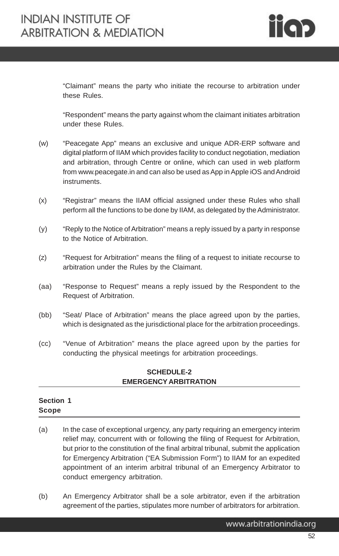

"Claimant" means the party who initiate the recourse to arbitration under these Rules.

"Respondent" means the party against whom the claimant initiates arbitration under these Rules.

- (w) "Peacegate App" means an exclusive and unique ADR-ERP software and digital platform of IIAM which provides facility to conduct negotiation, mediation and arbitration, through Centre or online, which can used in web platform from www.peacegate.in and can also be used as App in Apple iOS and Android instruments.
- (x) "Registrar" means the IIAM official assigned under these Rules who shall perform all the functions to be done by IIAM, as delegated by the Administrator.
- (y) "Reply to the Notice of Arbitration" means a reply issued by a party in response to the Notice of Arbitration.
- (z) "Request for Arbitration" means the filing of a request to initiate recourse to arbitration under the Rules by the Claimant.
- (aa) "Response to Request" means a reply issued by the Respondent to the Request of Arbitration.
- (bb) "Seat/ Place of Arbitration" means the place agreed upon by the parties, which is designated as the jurisdictional place for the arbitration proceedings.
- (cc) "Venue of Arbitration" means the place agreed upon by the parties for conducting the physical meetings for arbitration proceedings.

### **SCHEDULE-2 EMERGENCY ARBITRATION**

### **Section 1 Scope**

- (a) In the case of exceptional urgency, any party requiring an emergency interim relief may, concurrent with or following the filing of Request for Arbitration, but prior to the constitution of the final arbitral tribunal, submit the application for Emergency Arbitration ("EA Submission Form") to IIAM for an expedited appointment of an interim arbitral tribunal of an Emergency Arbitrator to conduct emergency arbitration.
- (b) An Emergency Arbitrator shall be a sole arbitrator, even if the arbitration agreement of the parties, stipulates more number of arbitrators for arbitration.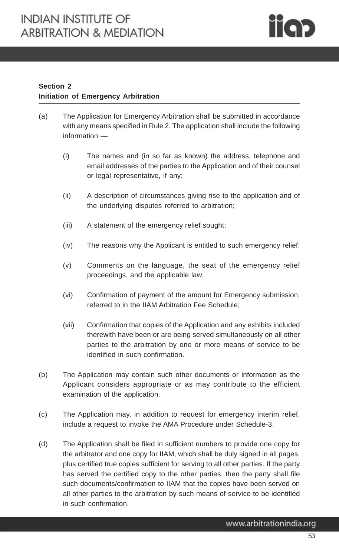

## **Section 2 Initiation of Emergency Arbitration**

- (a) The Application for Emergency Arbitration shall be submitted in accordance with any means specified in Rule 2. The application shall include the following information —
	- (i) The names and (in so far as known) the address, telephone and email addresses of the parties to the Application and of their counsel or legal representative, if any;
	- (ii) A description of circumstances giving rise to the application and of the underlying disputes referred to arbitration;
	- (iii) A statement of the emergency relief sought;
	- (iv) The reasons why the Applicant is entitled to such emergency relief;
	- (v) Comments on the language, the seat of the emergency relief proceedings, and the applicable law;
	- (vi) Confirmation of payment of the amount for Emergency submission, referred to in the IIAM Arbitration Fee Schedule;
	- (vii) Confirmation that copies of the Application and any exhibits included therewith have been or are being served simultaneously on all other parties to the arbitration by one or more means of service to be identified in such confirmation.
- (b) The Application may contain such other documents or information as the Applicant considers appropriate or as may contribute to the efficient examination of the application.
- (c) The Application may, in addition to request for emergency interim relief, include a request to invoke the AMA Procedure under Schedule-3.
- (d) The Application shall be filed in sufficient numbers to provide one copy for the arbitrator and one copy for IIAM, which shall be duly signed in all pages, plus certified true copies sufficient for serving to all other parties. If the party has served the certified copy to the other parties, then the party shall file such documents/confirmation to IIAM that the copies have been served on all other parties to the arbitration by such means of service to be identified in such confirmation.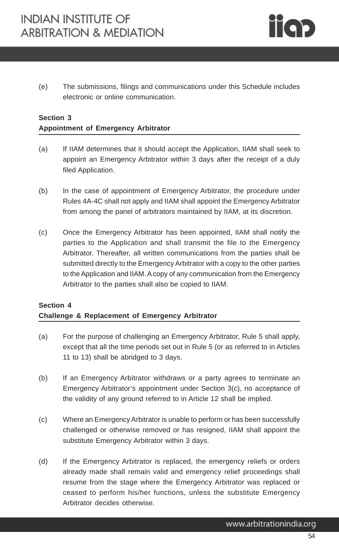

(e) The submissions, filings and communications under this Schedule includes electronic or online communication.

# **Section 3 Appointment of Emergency Arbitrator**

- (a) If IIAM determines that it should accept the Application, IIAM shall seek to appoint an Emergency Arbitrator within 3 days after the receipt of a duly filed Application.
- (b) In the case of appointment of Emergency Arbitrator, the procedure under Rules 4A-4C shall not apply and IIAM shall appoint the Emergency Arbitrator from among the panel of arbitrators maintained by IIAM, at its discretion.
- (c) Once the Emergency Arbitrator has been appointed, IIAM shall notify the parties to the Application and shall transmit the file to the Emergency Arbitrator. Thereafter, all written communications from the parties shall be submitted directly to the Emergency Arbitrator with a copy to the other parties to the Application and IIAM. A copy of any communication from the Emergency Arbitrator to the parties shall also be copied to IIAM.

## **Section 4 Challenge & Replacement of Emergency Arbitrator**

- (a) For the purpose of challenging an Emergency Arbitrator, Rule 5 shall apply, except that all the time periods set out in Rule 5 (or as referred to in Articles 11 to 13) shall be abridged to 3 days.
- (b) If an Emergency Arbitrator withdraws or a party agrees to terminate an Emergency Arbitrator's appointment under Section 3(c), no acceptance of the validity of any ground referred to in Article 12 shall be implied.
- (c) Where an Emergency Arbitrator is unable to perform or has been successfully challenged or otherwise removed or has resigned, IIAM shall appoint the substitute Emergency Arbitrator within 3 days.
- (d) If the Emergency Arbitrator is replaced, the emergency reliefs or orders already made shall remain valid and emergency relief proceedings shall resume from the stage where the Emergency Arbitrator was replaced or ceased to perform his/her functions, unless the substitute Emergency Arbitrator decides otherwise.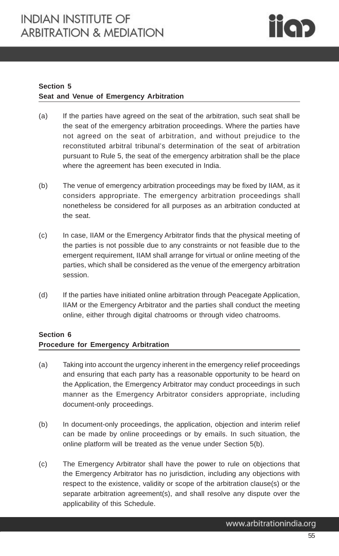

## **Section 5 Seat and Venue of Emergency Arbitration**

- (a) If the parties have agreed on the seat of the arbitration, such seat shall be the seat of the emergency arbitration proceedings. Where the parties have not agreed on the seat of arbitration, and without prejudice to the reconstituted arbitral tribunal's determination of the seat of arbitration pursuant to Rule 5, the seat of the emergency arbitration shall be the place where the agreement has been executed in India.
- (b) The venue of emergency arbitration proceedings may be fixed by IIAM, as it considers appropriate. The emergency arbitration proceedings shall nonetheless be considered for all purposes as an arbitration conducted at the seat.
- (c) In case, IIAM or the Emergency Arbitrator finds that the physical meeting of the parties is not possible due to any constraints or not feasible due to the emergent requirement, IIAM shall arrange for virtual or online meeting of the parties, which shall be considered as the venue of the emergency arbitration session.
- (d) If the parties have initiated online arbitration through Peacegate Application, IIAM or the Emergency Arbitrator and the parties shall conduct the meeting online, either through digital chatrooms or through video chatrooms.

# **Section 6 Procedure for Emergency Arbitration**

- (a) Taking into account the urgency inherent in the emergency relief proceedings and ensuring that each party has a reasonable opportunity to be heard on the Application, the Emergency Arbitrator may conduct proceedings in such manner as the Emergency Arbitrator considers appropriate, including document-only proceedings.
- (b) In document-only proceedings, the application, objection and interim relief can be made by online proceedings or by emails. In such situation, the online platform will be treated as the venue under Section 5(b).
- (c) The Emergency Arbitrator shall have the power to rule on objections that the Emergency Arbitrator has no jurisdiction, including any objections with respect to the existence, validity or scope of the arbitration clause(s) or the separate arbitration agreement(s), and shall resolve any dispute over the applicability of this Schedule.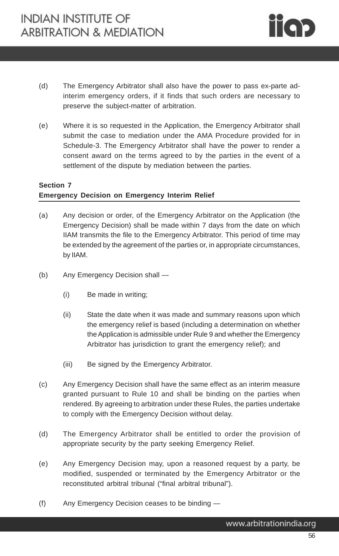

- (d) The Emergency Arbitrator shall also have the power to pass ex-parte adinterim emergency orders, if it finds that such orders are necessary to preserve the subject-matter of arbitration.
- (e) Where it is so requested in the Application, the Emergency Arbitrator shall submit the case to mediation under the AMA Procedure provided for in Schedule-3. The Emergency Arbitrator shall have the power to render a consent award on the terms agreed to by the parties in the event of a settlement of the dispute by mediation between the parties.

## **Section 7 Emergency Decision on Emergency Interim Relief**

- (a) Any decision or order, of the Emergency Arbitrator on the Application (the Emergency Decision) shall be made within 7 days from the date on which IIAM transmits the file to the Emergency Arbitrator. This period of time may be extended by the agreement of the parties or, in appropriate circumstances, by IIAM.
- (b) Any Emergency Decision shall
	- (i) Be made in writing;
	- (ii) State the date when it was made and summary reasons upon which the emergency relief is based (including a determination on whether the Application is admissible under Rule 9 and whether the Emergency Arbitrator has jurisdiction to grant the emergency relief); and
	- (iii) Be signed by the Emergency Arbitrator.
- (c) Any Emergency Decision shall have the same effect as an interim measure granted pursuant to Rule 10 and shall be binding on the parties when rendered. By agreeing to arbitration under these Rules, the parties undertake to comply with the Emergency Decision without delay.
- (d) The Emergency Arbitrator shall be entitled to order the provision of appropriate security by the party seeking Emergency Relief.
- (e) Any Emergency Decision may, upon a reasoned request by a party, be modified, suspended or terminated by the Emergency Arbitrator or the reconstituted arbitral tribunal ("final arbitral tribunal").
- (f) Any Emergency Decision ceases to be binding —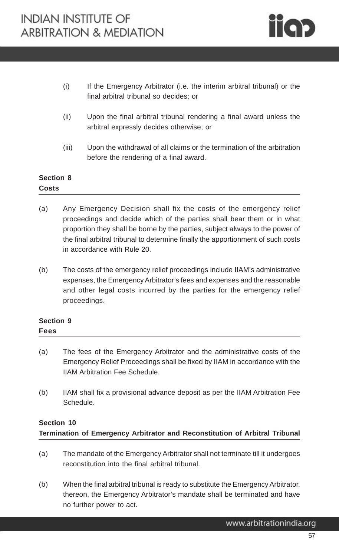

- (i) If the Emergency Arbitrator (i.e. the interim arbitral tribunal) or the final arbitral tribunal so decides; or
- (ii) Upon the final arbitral tribunal rendering a final award unless the arbitral expressly decides otherwise; or
- (iii) Upon the withdrawal of all claims or the termination of the arbitration before the rendering of a final award.

## **Section 8 Costs**

- (a) Any Emergency Decision shall fix the costs of the emergency relief proceedings and decide which of the parties shall bear them or in what proportion they shall be borne by the parties, subject always to the power of the final arbitral tribunal to determine finally the apportionment of such costs in accordance with Rule 20.
- (b) The costs of the emergency relief proceedings include IIAM's administrative expenses, the Emergency Arbitrator's fees and expenses and the reasonable and other legal costs incurred by the parties for the emergency relief proceedings.

# **Section 9**

**Fees**

- (a) The fees of the Emergency Arbitrator and the administrative costs of the Emergency Relief Proceedings shall be fixed by IIAM in accordance with the IIAM Arbitration Fee Schedule.
- (b) IIAM shall fix a provisional advance deposit as per the IIAM Arbitration Fee Schedule.

# **Section 10 Termination of Emergency Arbitrator and Reconstitution of Arbitral Tribunal**

- (a) The mandate of the Emergency Arbitrator shall not terminate till it undergoes reconstitution into the final arbitral tribunal.
- (b) When the final arbitral tribunal is ready to substitute the Emergency Arbitrator, thereon, the Emergency Arbitrator's mandate shall be terminated and have no further power to act.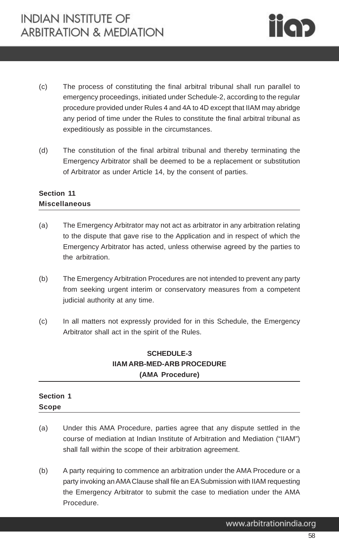

- (c) The process of constituting the final arbitral tribunal shall run parallel to emergency proceedings, initiated under Schedule-2, according to the regular procedure provided under Rules 4 and 4A to 4D except that IIAM may abridge any period of time under the Rules to constitute the final arbitral tribunal as expeditiously as possible in the circumstances.
- (d) The constitution of the final arbitral tribunal and thereby terminating the Emergency Arbitrator shall be deemed to be a replacement or substitution of Arbitrator as under Article 14, by the consent of parties.

## **Section 11 Miscellaneous**

- (a) The Emergency Arbitrator may not act as arbitrator in any arbitration relating to the dispute that gave rise to the Application and in respect of which the Emergency Arbitrator has acted, unless otherwise agreed by the parties to the arbitration.
- (b) The Emergency Arbitration Procedures are not intended to prevent any party from seeking urgent interim or conservatory measures from a competent judicial authority at any time.
- (c) In all matters not expressly provided for in this Schedule, the Emergency Arbitrator shall act in the spirit of the Rules.

# **SCHEDULE-3 IIAM ARB-MED-ARB PROCEDURE (AMA Procedure)**

# **Section 1 Scope**

- (a) Under this AMA Procedure, parties agree that any dispute settled in the course of mediation at Indian Institute of Arbitration and Mediation ("IIAM") shall fall within the scope of their arbitration agreement.
- (b) A party requiring to commence an arbitration under the AMA Procedure or a party invoking an AMA Clause shall file an EA Submission with IIAM requesting the Emergency Arbitrator to submit the case to mediation under the AMA Procedure.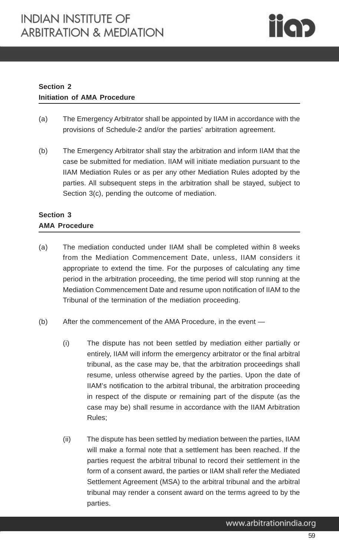

# **Section 2 Initiation of AMA Procedure**

- (a) The Emergency Arbitrator shall be appointed by IIAM in accordance with the provisions of Schedule-2 and/or the parties' arbitration agreement.
- (b) The Emergency Arbitrator shall stay the arbitration and inform IIAM that the case be submitted for mediation. IIAM will initiate mediation pursuant to the IIAM Mediation Rules or as per any other Mediation Rules adopted by the parties. All subsequent steps in the arbitration shall be stayed, subject to Section 3(c), pending the outcome of mediation.

## **Section 3 AMA Procedure**

- (a) The mediation conducted under IIAM shall be completed within 8 weeks from the Mediation Commencement Date, unless, IIAM considers it appropriate to extend the time. For the purposes of calculating any time period in the arbitration proceeding, the time period will stop running at the Mediation Commencement Date and resume upon notification of IIAM to the Tribunal of the termination of the mediation proceeding.
- (b) After the commencement of the AMA Procedure, in the event
	- (i) The dispute has not been settled by mediation either partially or entirely, IIAM will inform the emergency arbitrator or the final arbitral tribunal, as the case may be, that the arbitration proceedings shall resume, unless otherwise agreed by the parties. Upon the date of IIAM's notification to the arbitral tribunal, the arbitration proceeding in respect of the dispute or remaining part of the dispute (as the case may be) shall resume in accordance with the IIAM Arbitration Rules;
	- (ii) The dispute has been settled by mediation between the parties, IIAM will make a formal note that a settlement has been reached. If the parties request the arbitral tribunal to record their settlement in the form of a consent award, the parties or IIAM shall refer the Mediated Settlement Agreement (MSA) to the arbitral tribunal and the arbitral tribunal may render a consent award on the terms agreed to by the parties.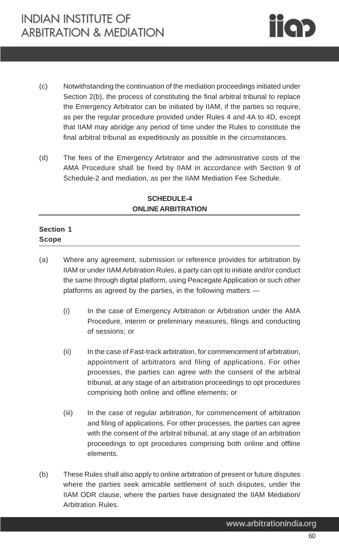

- (c) Notwithstanding the continuation of the mediation proceedings initiated under Section 2(b), the process of constituting the final arbitral tribunal to replace the Emergency Arbitrator can be initiated by IIAM, if the parties so require, as per the regular procedure provided under Rules 4 and 4A to 4D, except that IIAM may abridge any period of time under the Rules to constitute the final arbitral tribunal as expeditiously as possible in the circumstances.
- (d) The fees of the Emergency Arbitrator and the administrative costs of the AMA Procedure shall be fixed by IIAM in accordance with Section 9 of Schedule-2 and mediation, as per the IIAM Mediation Fee Schedule.

## **SCHEDULE-4 ONLINE ARBITRATION**

# **Section 1 Scope**

- (a) Where any agreement, submission or reference provides for arbitration by IIAM or under IIAM Arbitration Rules, a party can opt to initiate and/or conduct the same through digital platform, using Peacegate Application or such other platforms as agreed by the parties, in the following matters —
	- (i) In the case of Emergency Arbitration or Arbitration under the AMA Procedure, interim or preliminary measures, filings and conducting of sessions; or
	- (ii) In the case of Fast-track arbitration, for commencement of arbitration, appointment of arbitrators and filing of applications. For other processes, the parties can agree with the consent of the arbitral tribunal, at any stage of an arbitration proceedings to opt procedures comprising both online and offline elements; or
	- (iii) In the case of regular arbitration, for commencement of arbitration and filing of applications. For other processes, the parties can agree with the consent of the arbitral tribunal, at any stage of an arbitration proceedings to opt procedures comprising both online and offline elements.
- (b) These Rules shall also apply to online arbitration of present or future disputes where the parties seek amicable settlement of such disputes, under the IIAM ODR clause, where the parties have designated the IIAM Mediation/ Arbitration Rules.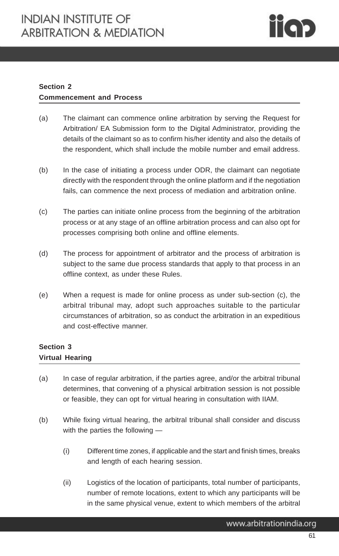

## **Section 2 Commencement and Process**

- (a) The claimant can commence online arbitration by serving the Request for Arbitration/ EA Submission form to the Digital Administrator, providing the details of the claimant so as to confirm his/her identity and also the details of the respondent, which shall include the mobile number and email address.
- (b) In the case of initiating a process under ODR, the claimant can negotiate directly with the respondent through the online platform and if the negotiation fails, can commence the next process of mediation and arbitration online.
- (c) The parties can initiate online process from the beginning of the arbitration process or at any stage of an offline arbitration process and can also opt for processes comprising both online and offline elements.
- (d) The process for appointment of arbitrator and the process of arbitration is subject to the same due process standards that apply to that process in an offline context, as under these Rules.
- (e) When a request is made for online process as under sub-section (c), the arbitral tribunal may, adopt such approaches suitable to the particular circumstances of arbitration, so as conduct the arbitration in an expeditious and cost-effective manner.

# **Section 3 Virtual Hearing**

- (a) In case of regular arbitration, if the parties agree, and/or the arbitral tribunal determines, that convening of a physical arbitration session is not possible or feasible, they can opt for virtual hearing in consultation with IIAM.
- (b) While fixing virtual hearing, the arbitral tribunal shall consider and discuss with the parties the following —
	- (i) Different time zones, if applicable and the start and finish times, breaks and length of each hearing session.
	- (ii) Logistics of the location of participants, total number of participants, number of remote locations, extent to which any participants will be in the same physical venue, extent to which members of the arbitral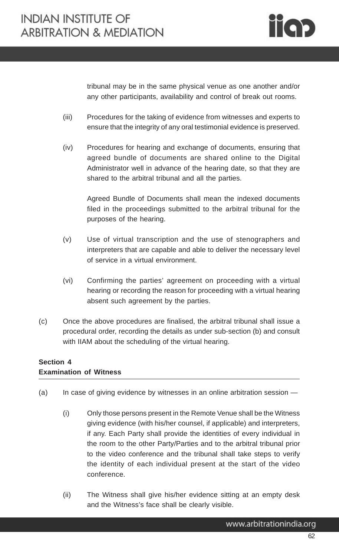

tribunal may be in the same physical venue as one another and/or any other participants, availability and control of break out rooms.

- (iii) Procedures for the taking of evidence from witnesses and experts to ensure that the integrity of any oral testimonial evidence is preserved.
- (iv) Procedures for hearing and exchange of documents, ensuring that agreed bundle of documents are shared online to the Digital Administrator well in advance of the hearing date, so that they are shared to the arbitral tribunal and all the parties.

Agreed Bundle of Documents shall mean the indexed documents filed in the proceedings submitted to the arbitral tribunal for the purposes of the hearing.

- (v) Use of virtual transcription and the use of stenographers and interpreters that are capable and able to deliver the necessary level of service in a virtual environment.
- (vi) Confirming the parties' agreement on proceeding with a virtual hearing or recording the reason for proceeding with a virtual hearing absent such agreement by the parties.
- (c) Once the above procedures are finalised, the arbitral tribunal shall issue a procedural order, recording the details as under sub-section (b) and consult with IIAM about the scheduling of the virtual hearing.

## **Section 4 Examination of Witness**

- (a) In case of giving evidence by witnesses in an online arbitration session
	- (i) Only those persons present in the Remote Venue shall be the Witness giving evidence (with his/her counsel, if applicable) and interpreters, if any. Each Party shall provide the identities of every individual in the room to the other Party/Parties and to the arbitral tribunal prior to the video conference and the tribunal shall take steps to verify the identity of each individual present at the start of the video conference.
	- (ii) The Witness shall give his/her evidence sitting at an empty desk and the Witness's face shall be clearly visible.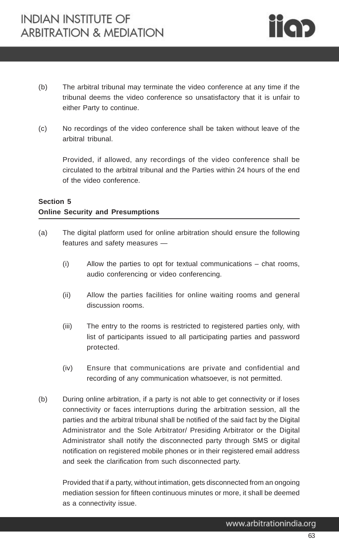

- (b) The arbitral tribunal may terminate the video conference at any time if the tribunal deems the video conference so unsatisfactory that it is unfair to either Party to continue.
- (c) No recordings of the video conference shall be taken without leave of the arbitral tribunal.

Provided, if allowed, any recordings of the video conference shall be circulated to the arbitral tribunal and the Parties within 24 hours of the end of the video conference.

## **Section 5 Online Security and Presumptions**

- (a) The digital platform used for online arbitration should ensure the following features and safety measures —
	- (i) Allow the parties to opt for textual communications chat rooms, audio conferencing or video conferencing.
	- (ii) Allow the parties facilities for online waiting rooms and general discussion rooms.
	- (iii) The entry to the rooms is restricted to registered parties only, with list of participants issued to all participating parties and password protected.
	- (iv) Ensure that communications are private and confidential and recording of any communication whatsoever, is not permitted.
- (b) During online arbitration, if a party is not able to get connectivity or if loses connectivity or faces interruptions during the arbitration session, all the parties and the arbitral tribunal shall be notified of the said fact by the Digital Administrator and the Sole Arbitrator/ Presiding Arbitrator or the Digital Administrator shall notify the disconnected party through SMS or digital notification on registered mobile phones or in their registered email address and seek the clarification from such disconnected party.

Provided that if a party, without intimation, gets disconnected from an ongoing mediation session for fifteen continuous minutes or more, it shall be deemed as a connectivity issue.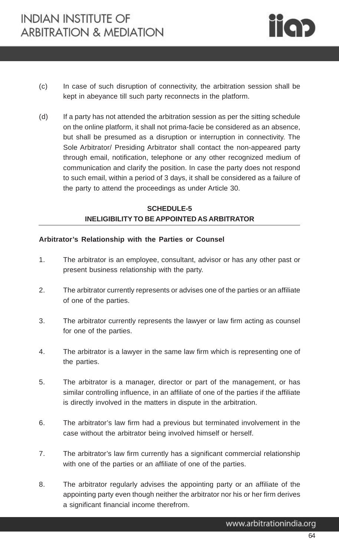

- (c) In case of such disruption of connectivity, the arbitration session shall be kept in abeyance till such party reconnects in the platform.
- (d) If a party has not attended the arbitration session as per the sitting schedule on the online platform, it shall not prima-facie be considered as an absence, but shall be presumed as a disruption or interruption in connectivity. The Sole Arbitrator/ Presiding Arbitrator shall contact the non-appeared party through email, notification, telephone or any other recognized medium of communication and clarify the position. In case the party does not respond to such email, within a period of 3 days, it shall be considered as a failure of the party to attend the proceedings as under Article 30.

## **SCHEDULE-5 INELIGIBILITY TO BE APPOINTED AS ARBITRATOR**

### **Arbitrator's Relationship with the Parties or Counsel**

- 1. The arbitrator is an employee, consultant, advisor or has any other past or present business relationship with the party.
- 2. The arbitrator currently represents or advises one of the parties or an affiliate of one of the parties.
- 3. The arbitrator currently represents the lawyer or law firm acting as counsel for one of the parties.
- 4. The arbitrator is a lawyer in the same law firm which is representing one of the parties.
- 5. The arbitrator is a manager, director or part of the management, or has similar controlling influence, in an affiliate of one of the parties if the affiliate is directly involved in the matters in dispute in the arbitration.
- 6. The arbitrator's law firm had a previous but terminated involvement in the case without the arbitrator being involved himself or herself.
- 7. The arbitrator's law firm currently has a significant commercial relationship with one of the parties or an affiliate of one of the parties.
- 8. The arbitrator regularly advises the appointing party or an affiliate of the appointing party even though neither the arbitrator nor his or her firm derives a significant financial income therefrom.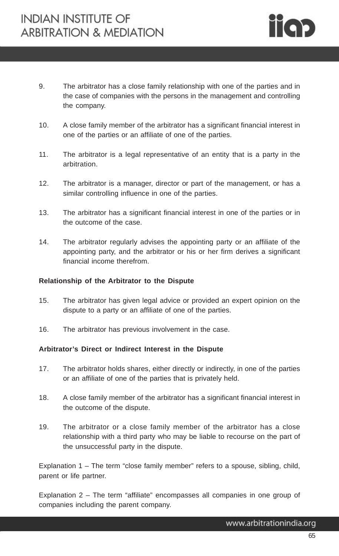

- 9. The arbitrator has a close family relationship with one of the parties and in the case of companies with the persons in the management and controlling the company.
- 10. A close family member of the arbitrator has a significant financial interest in one of the parties or an affiliate of one of the parties.
- 11. The arbitrator is a legal representative of an entity that is a party in the arbitration.
- 12. The arbitrator is a manager, director or part of the management, or has a similar controlling influence in one of the parties.
- 13. The arbitrator has a significant financial interest in one of the parties or in the outcome of the case.
- 14. The arbitrator regularly advises the appointing party or an affiliate of the appointing party, and the arbitrator or his or her firm derives a significant financial income therefrom.

### **Relationship of the Arbitrator to the Dispute**

- 15. The arbitrator has given legal advice or provided an expert opinion on the dispute to a party or an affiliate of one of the parties.
- 16. The arbitrator has previous involvement in the case.

### **Arbitrator's Direct or Indirect Interest in the Dispute**

- 17. The arbitrator holds shares, either directly or indirectly, in one of the parties or an affiliate of one of the parties that is privately held.
- 18. A close family member of the arbitrator has a significant financial interest in the outcome of the dispute.
- 19. The arbitrator or a close family member of the arbitrator has a close relationship with a third party who may be liable to recourse on the part of the unsuccessful party in the dispute.

Explanation 1 – The term "close family member" refers to a spouse, sibling, child, parent or life partner.

Explanation 2 – The term "affiliate" encompasses all companies in one group of companies including the parent company.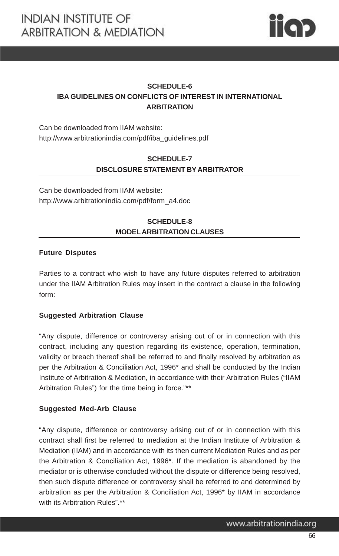

## **SCHEDULE-6 IBA GUIDELINES ON CONFLICTS OF INTEREST IN INTERNATIONAL ARBITRATION**

Can be downloaded from IIAM website: http://www.arbitrationindia.com/pdf/iba\_guidelines.pdf

## **SCHEDULE-7 DISCLOSURE STATEMENT BY ARBITRATOR**

Can be downloaded from IIAM website: http://www.arbitrationindia.com/pdf/form\_a4.doc

# **SCHEDULE-8 MODEL ARBITRATION CLAUSES**

## **Future Disputes**

Parties to a contract who wish to have any future disputes referred to arbitration under the IIAM Arbitration Rules may insert in the contract a clause in the following form:

### **Suggested Arbitration Clause**

"Any dispute, difference or controversy arising out of or in connection with this contract, including any question regarding its existence, operation, termination, validity or breach thereof shall be referred to and finally resolved by arbitration as per the Arbitration & Conciliation Act, 1996\* and shall be conducted by the Indian Institute of Arbitration & Mediation, in accordance with their Arbitration Rules ("IIAM Arbitration Rules") for the time being in force."\*\*

### **Suggested Med-Arb Clause**

"Any dispute, difference or controversy arising out of or in connection with this contract shall first be referred to mediation at the Indian Institute of Arbitration & Mediation (IIAM) and in accordance with its then current Mediation Rules and as per the Arbitration & Conciliation Act, 1996\*. If the mediation is abandoned by the mediator or is otherwise concluded without the dispute or difference being resolved, then such dispute difference or controversy shall be referred to and determined by arbitration as per the Arbitration & Conciliation Act, 1996\* by IIAM in accordance with its Arbitration Rules".\*\*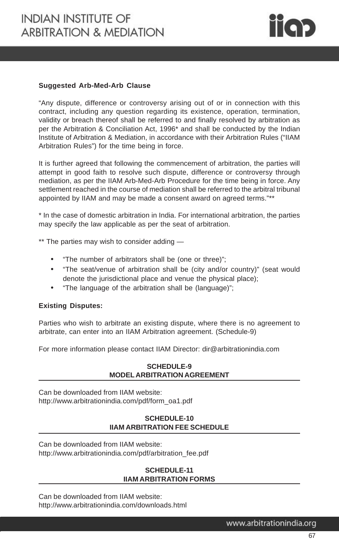

#### **Suggested Arb-Med-Arb Clause**

"Any dispute, difference or controversy arising out of or in connection with this contract, including any question regarding its existence, operation, termination, validity or breach thereof shall be referred to and finally resolved by arbitration as per the Arbitration & Conciliation Act, 1996\* and shall be conducted by the Indian Institute of Arbitration & Mediation, in accordance with their Arbitration Rules ("IIAM Arbitration Rules") for the time being in force.

It is further agreed that following the commencement of arbitration, the parties will attempt in good faith to resolve such dispute, difference or controversy through mediation, as per the IIAM Arb-Med-Arb Procedure for the time being in force. Any settlement reached in the course of mediation shall be referred to the arbitral tribunal appointed by IIAM and may be made a consent award on agreed terms."\*\*

\* In the case of domestic arbitration in India. For international arbitration, the parties may specify the law applicable as per the seat of arbitration.

\*\* The parties may wish to consider adding -

- "The number of arbitrators shall be (one or three)";
- "The seat/venue of arbitration shall be (city and/or country)" (seat would denote the jurisdictional place and venue the physical place);
- "The language of the arbitration shall be (language)";

#### **Existing Disputes:**

Parties who wish to arbitrate an existing dispute, where there is no agreement to arbitrate, can enter into an IIAM Arbitration agreement. (Schedule-9)

For more information please contact IIAM Director: dir@arbitrationindia.com

#### **SCHEDULE-9 MODEL ARBITRATION AGREEMENT**

Can be downloaded from IIAM website: http://www.arbitrationindia.com/pdf/form\_oa1.pdf

#### **SCHEDULE-10 IIAM ARBITRATION FEE SCHEDULE**

Can be downloaded from IIAM website: http://www.arbitrationindia.com/pdf/arbitration\_fee.pdf

#### **SCHEDULE-11 IIAM ARBITRATION FORMS**

Can be downloaded from IIAM website: http://www.arbitrationindia.com/downloads.html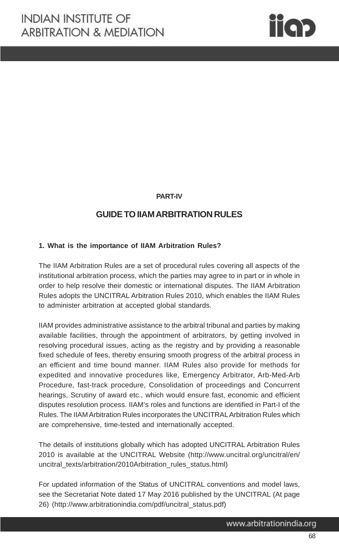

## **PART-IV**

# **GUIDE TO IIAM ARBITRATION RULES**

#### **1. What is the importance of IIAM Arbitration Rules?**

The IIAM Arbitration Rules are a set of procedural rules covering all aspects of the institutional arbitration process, which the parties may agree to in part or in whole in order to help resolve their domestic or international disputes. The IIAM Arbitration Rules adopts the UNCITRAL Arbitration Rules 2010, which enables the IIAM Rules to administer arbitration at accepted global standards.

IIAM provides administrative assistance to the arbitral tribunal and parties by making available facilities, through the appointment of arbitrators, by getting involved in resolving procedural issues, acting as the registry and by providing a reasonable fixed schedule of fees, thereby ensuring smooth progress of the arbitral process in an efficient and time bound manner. IIAM Rules also provide for methods for expedited and innovative procedures like, Emergency Arbitrator, Arb-Med-Arb Procedure, fast-track procedure, Consolidation of proceedings and Concurrent hearings, Scrutiny of award etc., which would ensure fast, economic and efficient disputes resolution process. IIAM's roles and functions are identified in Part-I of the Rules. The IIAM Arbitration Rules incorporates the UNCITRAL Arbitration Rules which are comprehensive, time-tested and internationally accepted.

The details of institutions globally which has adopted UNCITRAL Arbitration Rules 2010 is available at the UNCITRAL Website (http://www.uncitral.org/uncitral/en/ uncitral\_texts/arbitration/2010Arbitration\_rules\_status.html)

For updated information of the Status of UNCITRAL conventions and model laws, see the Secretariat Note dated 17 May 2016 published by the UNCITRAL (At page 26) (http://www.arbitrationindia.com/pdf/uncitral\_status.pdf)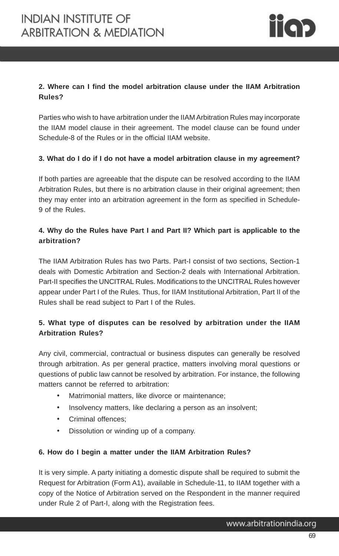

# **2. Where can I find the model arbitration clause under the IIAM Arbitration Rules?**

Parties who wish to have arbitration under the IIAM Arbitration Rules may incorporate the IIAM model clause in their agreement. The model clause can be found under Schedule-8 of the Rules or in the official IIAM website.

# **3. What do I do if I do not have a model arbitration clause in my agreement?**

If both parties are agreeable that the dispute can be resolved according to the IIAM Arbitration Rules, but there is no arbitration clause in their original agreement; then they may enter into an arbitration agreement in the form as specified in Schedule-9 of the Rules.

# **4. Why do the Rules have Part I and Part II? Which part is applicable to the arbitration?**

The IIAM Arbitration Rules has two Parts. Part-I consist of two sections, Section-1 deals with Domestic Arbitration and Section-2 deals with International Arbitration. Part-II specifies the UNCITRAL Rules. Modifications to the UNCITRAL Rules however appear under Part I of the Rules. Thus, for IIAM Institutional Arbitration, Part II of the Rules shall be read subject to Part I of the Rules.

# **5. What type of disputes can be resolved by arbitration under the IIAM Arbitration Rules?**

Any civil, commercial, contractual or business disputes can generally be resolved through arbitration. As per general practice, matters involving moral questions or questions of public law cannot be resolved by arbitration. For instance, the following matters cannot be referred to arbitration:

- Matrimonial matters, like divorce or maintenance;
- Insolvency matters, like declaring a person as an insolvent;
- Criminal offences;
- Dissolution or winding up of a company.

## **6. How do I begin a matter under the IIAM Arbitration Rules?**

It is very simple. A party initiating a domestic dispute shall be required to submit the Request for Arbitration (Form A1), available in Schedule-11, to IIAM together with a copy of the Notice of Arbitration served on the Respondent in the manner required under Rule 2 of Part-I, along with the Registration fees.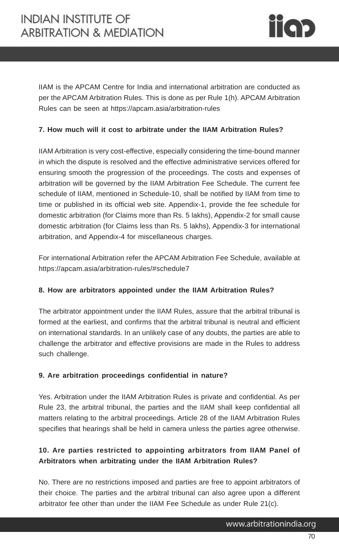

IIAM is the APCAM Centre for India and international arbitration are conducted as per the APCAM Arbitration Rules. This is done as per Rule 1(h). APCAM Arbitration Rules can be seen at https://apcam.asia/arbitration-rules

## **7. How much will it cost to arbitrate under the IIAM Arbitration Rules?**

IIAM Arbitration is very cost-effective, especially considering the time-bound manner in which the dispute is resolved and the effective administrative services offered for ensuring smooth the progression of the proceedings. The costs and expenses of arbitration will be governed by the IIAM Arbitration Fee Schedule. The current fee schedule of IIAM, mentioned in Schedule-10, shall be notified by IIAM from time to time or published in its official web site. Appendix-1, provide the fee schedule for domestic arbitration (for Claims more than Rs. 5 lakhs), Appendix-2 for small cause domestic arbitration (for Claims less than Rs. 5 lakhs), Appendix-3 for international arbitration, and Appendix-4 for miscellaneous charges.

For international Arbitration refer the APCAM Arbitration Fee Schedule, available at https://apcam.asia/arbitration-rules/#schedule7

## **8. How are arbitrators appointed under the IIAM Arbitration Rules?**

The arbitrator appointment under the IIAM Rules, assure that the arbitral tribunal is formed at the earliest, and confirms that the arbitral tribunal is neutral and efficient on international standards. In an unlikely case of any doubts, the parties are able to challenge the arbitrator and effective provisions are made in the Rules to address such challenge.

## **9. Are arbitration proceedings confidential in nature?**

Yes. Arbitration under the IIAM Arbitration Rules is private and confidential. As per Rule 23, the arbitral tribunal, the parties and the IIAM shall keep confidential all matters relating to the arbitral proceedings. Article 28 of the IIAM Arbitration Rules specifies that hearings shall be held in camera unless the parties agree otherwise.

# **10. Are parties restricted to appointing arbitrators from IIAM Panel of Arbitrators when arbitrating under the IIAM Arbitration Rules?**

No. There are no restrictions imposed and parties are free to appoint arbitrators of their choice. The parties and the arbitral tribunal can also agree upon a different arbitrator fee other than under the IIAM Fee Schedule as under Rule 21(c).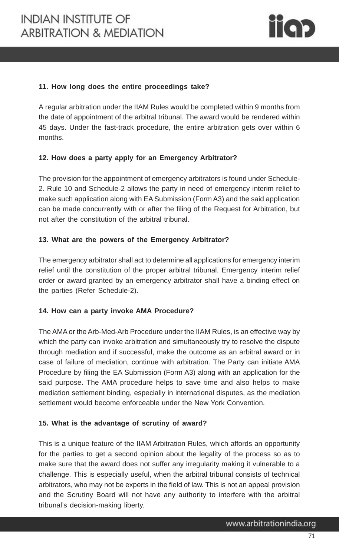

#### **11. How long does the entire proceedings take?**

A regular arbitration under the IIAM Rules would be completed within 9 months from the date of appointment of the arbitral tribunal. The award would be rendered within 45 days. Under the fast-track procedure, the entire arbitration gets over within 6 months.

## **12. How does a party apply for an Emergency Arbitrator?**

The provision for the appointment of emergency arbitrators is found under Schedule-2. Rule 10 and Schedule-2 allows the party in need of emergency interim relief to make such application along with EA Submission (Form A3) and the said application can be made concurrently with or after the filing of the Request for Arbitration, but not after the constitution of the arbitral tribunal.

## **13. What are the powers of the Emergency Arbitrator?**

The emergency arbitrator shall act to determine all applications for emergency interim relief until the constitution of the proper arbitral tribunal. Emergency interim relief order or award granted by an emergency arbitrator shall have a binding effect on the parties (Refer Schedule-2).

#### **14. How can a party invoke AMA Procedure?**

The AMA or the Arb-Med-Arb Procedure under the IIAM Rules, is an effective way by which the party can invoke arbitration and simultaneously try to resolve the dispute through mediation and if successful, make the outcome as an arbitral award or in case of failure of mediation, continue with arbitration. The Party can initiate AMA Procedure by filing the EA Submission (Form A3) along with an application for the said purpose. The AMA procedure helps to save time and also helps to make mediation settlement binding, especially in international disputes, as the mediation settlement would become enforceable under the New York Convention.

## **15. What is the advantage of scrutiny of award?**

This is a unique feature of the IIAM Arbitration Rules, which affords an opportunity for the parties to get a second opinion about the legality of the process so as to make sure that the award does not suffer any irregularity making it vulnerable to a challenge. This is especially useful, when the arbitral tribunal consists of technical arbitrators, who may not be experts in the field of law. This is not an appeal provision and the Scrutiny Board will not have any authority to interfere with the arbitral tribunal's decision-making liberty.